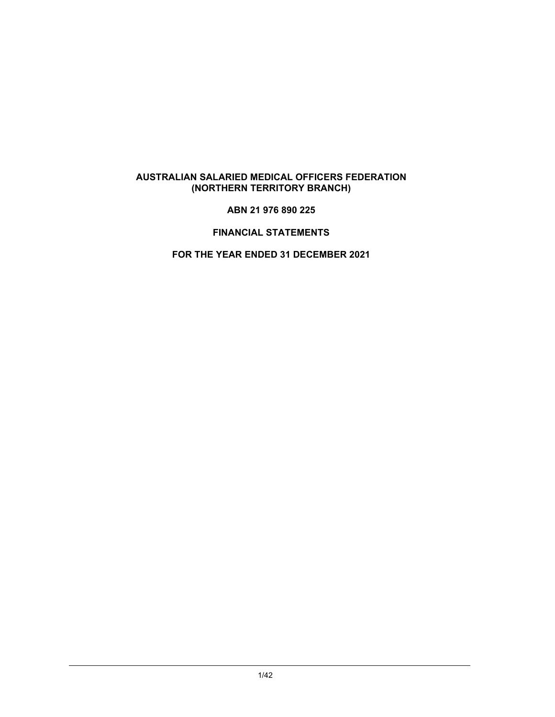### **ABN 21 976 890 225**

# **FINANCIAL STATEMENTS**

# **FOR THE YEAR ENDED 31 DECEMBER 2021**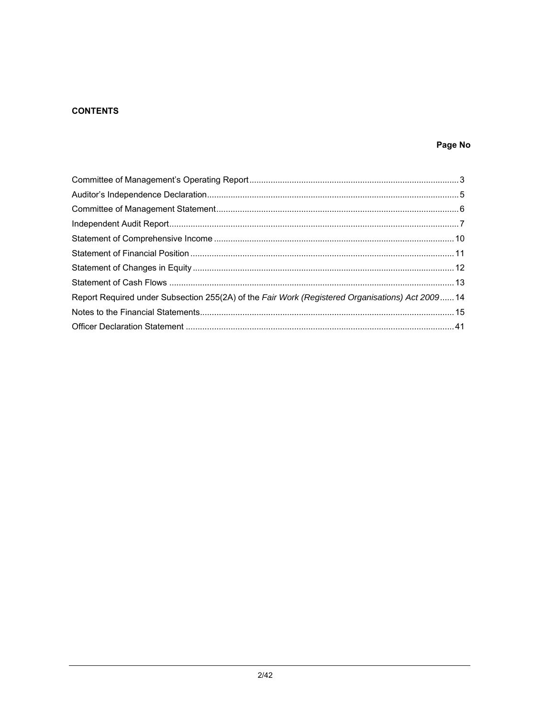# **CONTENTS**

# Page No

| Report Required under Subsection 255(2A) of the Fair Work (Registered Organisations) Act 2009 14 |  |
|--------------------------------------------------------------------------------------------------|--|
|                                                                                                  |  |
|                                                                                                  |  |
|                                                                                                  |  |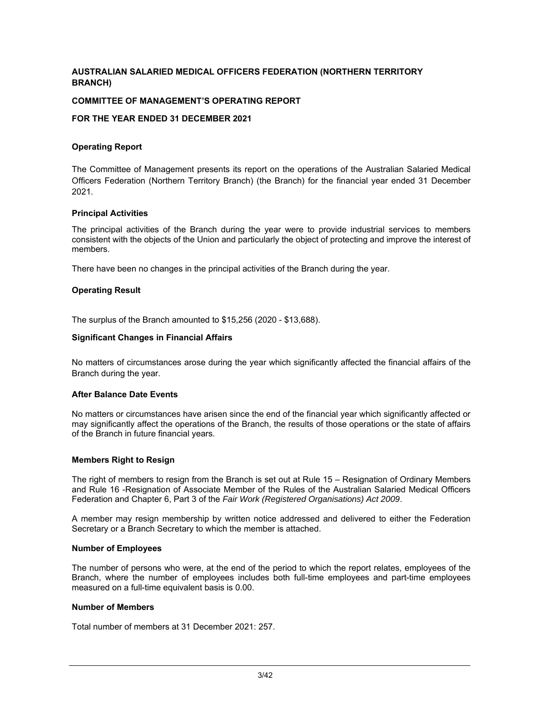### **COMMITTEE OF MANAGEMENT'S OPERATING REPORT**

### **FOR THE YEAR ENDED 31 DECEMBER 2021**

#### **Operating Report**

The Committee of Management presents its report on the operations of the Australian Salaried Medical Officers Federation (Northern Territory Branch) (the Branch) for the financial year ended 31 December 2021.

#### **Principal Activities**

The principal activities of the Branch during the year were to provide industrial services to members consistent with the objects of the Union and particularly the object of protecting and improve the interest of members.

There have been no changes in the principal activities of the Branch during the year.

#### **Operating Result**

The surplus of the Branch amounted to \$15,256 (2020 - \$13,688).

#### **Significant Changes in Financial Affairs**

No matters of circumstances arose during the year which significantly affected the financial affairs of the Branch during the year.

#### **After Balance Date Events**

No matters or circumstances have arisen since the end of the financial year which significantly affected or may significantly affect the operations of the Branch, the results of those operations or the state of affairs of the Branch in future financial years.

#### **Members Right to Resign**

The right of members to resign from the Branch is set out at Rule 15 – Resignation of Ordinary Members and Rule 16 -Resignation of Associate Member of the Rules of the Australian Salaried Medical Officers Federation and Chapter 6, Part 3 of the *Fair Work (Registered Organisations) Act 2009*.

A member may resign membership by written notice addressed and delivered to either the Federation Secretary or a Branch Secretary to which the member is attached.

#### **Number of Employees**

The number of persons who were, at the end of the period to which the report relates, employees of the Branch, where the number of employees includes both full-time employees and part-time employees measured on a full-time equivalent basis is 0.00.

#### **Number of Members**

Total number of members at 31 December 2021: 257.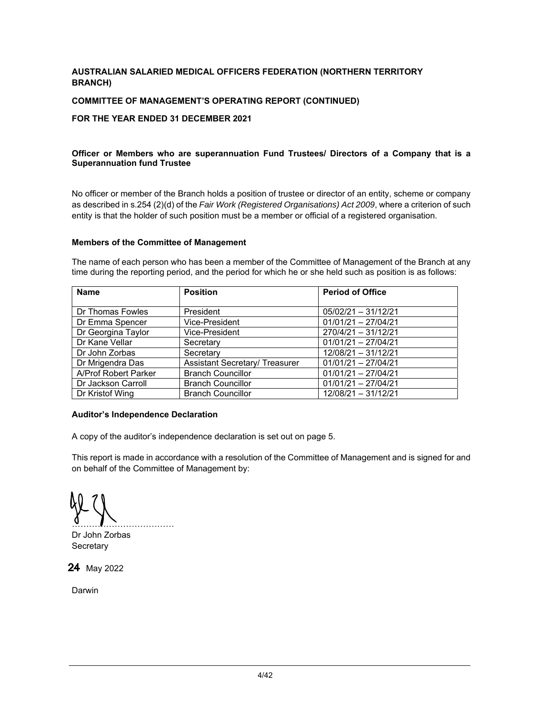### **COMMITTEE OF MANAGEMENT'S OPERATING REPORT (CONTINUED)**

### **FOR THE YEAR ENDED 31 DECEMBER 2021**

### **Officer or Members who are superannuation Fund Trustees/ Directors of a Company that is a Superannuation fund Trustee**

No officer or member of the Branch holds a position of trustee or director of an entity, scheme or company as described in s.254 (2)(d) of the *Fair Work (Registered Organisations) Act 2009*, where a criterion of such entity is that the holder of such position must be a member or official of a registered organisation.

#### **Members of the Committee of Management**

The name of each person who has been a member of the Committee of Management of the Branch at any time during the reporting period, and the period for which he or she held such as position is as follows:

| <b>Name</b>          | <b>Position</b>                       | <b>Period of Office</b> |
|----------------------|---------------------------------------|-------------------------|
|                      |                                       |                         |
| Dr Thomas Fowles     | President                             | $05/02/21 - 31/12/21$   |
| Dr Emma Spencer      | Vice-President                        | $01/01/21 - 27/04/21$   |
| Dr Georgina Taylor   | Vice-President                        | $270/4/21 - 31/12/21$   |
| Dr Kane Vellar       | Secretary                             | $01/01/21 - 27/04/21$   |
| Dr John Zorbas       | Secretary                             | 12/08/21 - 31/12/21     |
| Dr Mrigendra Das     | <b>Assistant Secretary/ Treasurer</b> | $01/01/21 - 27/04/21$   |
| A/Prof Robert Parker | <b>Branch Councillor</b>              | $01/01/21 - 27/04/21$   |
| Dr Jackson Carroll   | <b>Branch Councillor</b>              | $01/01/21 - 27/04/21$   |
| Dr Kristof Wing      | <b>Branch Councillor</b>              | 12/08/21 - 31/12/21     |

### **Auditor's Independence Declaration**

A copy of the auditor's independence declaration is set out on page 5.

This report is made in accordance with a resolution of the Committee of Management and is signed for and on behalf of the Committee of Management by:

 $\mathbf{v}$  . The set of  $\mathbf{v}$  is the set of  $\mathbf{v}$  is the set of  $\mathbf{v}$  is the set of  $\mathbf{v}$ Dr John Zorbas

**Secretary** 

24 May 2022

Darwin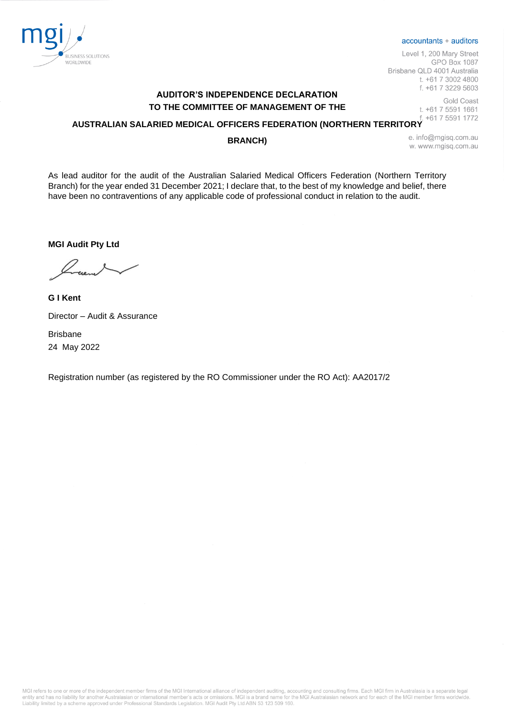

#### accountants + auditors

Level 1, 200 Mary Street **GPO Box 1087** Brisbane QLD 4001 Australia t. +61 7 3002 4800 f. +61 7 3229 5603

# **AUDITOR'S INDEPENDENCE DECLARATION TO THE COMMITTEE OF MANAGEMENT OF THE**

Gold Coast t. +61 7 5591 1661 +61 7 5591 1772

# **AUSTRALIAN SALARIED MEDICAL OFFICERS FEDERATION (NORTHERN TERRITORY**

#### **BRANCH)**

e. info@mgisq.com.au w. www.mgisg.com.au

As lead auditor for the audit of the Australian Salaried Medical Officers Federation (Northern Territory Branch) for the year ended 31 December 2021; I declare that, to the best of my knowledge and belief, there have been no contraventions of any applicable code of professional conduct in relation to the audit.

**MGI Audit Pty Ltd**

**G I Kent**  Director – Audit & Assurance

Brisbane 24 May 2022

Registration number (as registered by the RO Commissioner under the RO Act): AA2017/2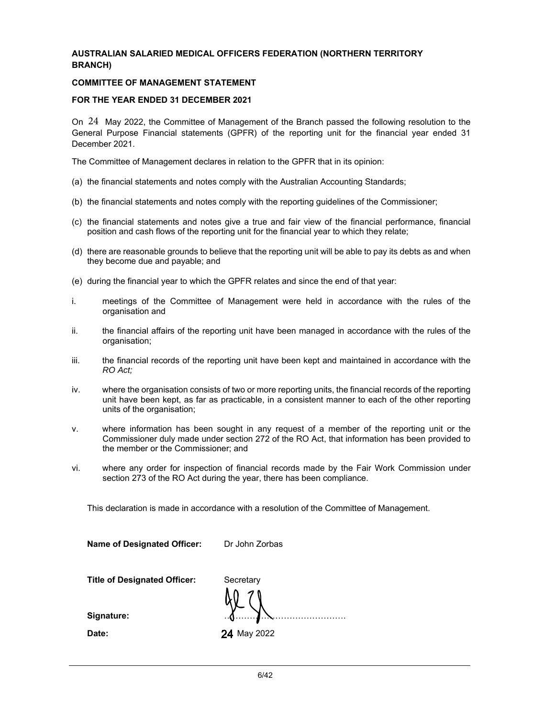### **COMMITTEE OF MANAGEMENT STATEMENT**

#### **FOR THE YEAR ENDED 31 DECEMBER 2021**

On  $24$  May 2022, the Committee of Management of the Branch passed the following resolution to the General Purpose Financial statements (GPFR) of the reporting unit for the financial year ended 31 December 2021.

The Committee of Management declares in relation to the GPFR that in its opinion:

- (a) the financial statements and notes comply with the Australian Accounting Standards;
- (b) the financial statements and notes comply with the reporting guidelines of the Commissioner;
- (c) the financial statements and notes give a true and fair view of the financial performance, financial position and cash flows of the reporting unit for the financial year to which they relate;
- (d) there are reasonable grounds to believe that the reporting unit will be able to pay its debts as and when they become due and payable; and
- (e) during the financial year to which the GPFR relates and since the end of that year:
- i. meetings of the Committee of Management were held in accordance with the rules of the organisation and
- ii. the financial affairs of the reporting unit have been managed in accordance with the rules of the organisation;
- iii. the financial records of the reporting unit have been kept and maintained in accordance with the *RO Act;*
- iv. where the organisation consists of two or more reporting units, the financial records of the reporting unit have been kept, as far as practicable, in a consistent manner to each of the other reporting units of the organisation;
- v. where information has been sought in any request of a member of the reporting unit or the Commissioner duly made under section 272 of the RO Act, that information has been provided to the member or the Commissioner; and
- vi. where any order for inspection of financial records made by the Fair Work Commission under section 273 of the RO Act during the year, there has been compliance.

This declaration is made in accordance with a resolution of the Committee of Management.

| <b>Name of Designated Officer:</b>  | Dr John Zorbas |
|-------------------------------------|----------------|
| <b>Title of Designated Officer:</b> | Secretary      |
| Signature:                          |                |
| Date:                               | 24 May 2022    |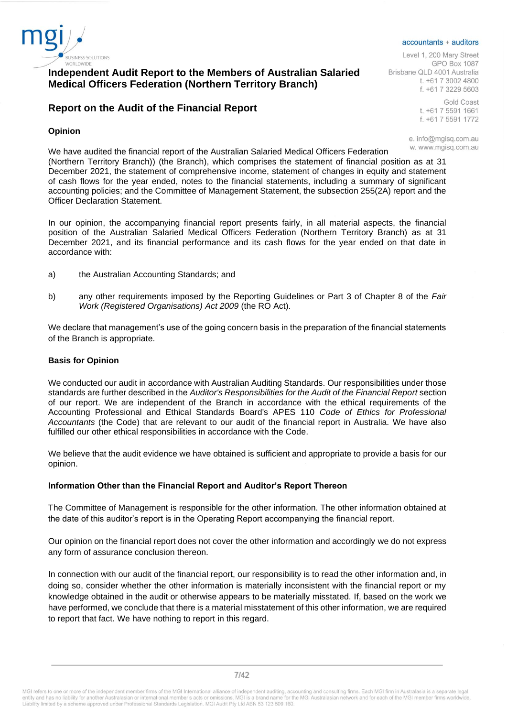

# **Independent Audit Report to the Members of Australian Salaried Medical Officers Federation (Northern Territory Branch)**

# **Report on the Audit of the Financial Report**

### **Opinion**

accountants + auditors

Level 1, 200 Mary Street **GPO Box 1087** Brisbane QLD 4001 Australia t. +61 7 3002 4800 f. +61 7 3229 5603

> **Gold Coast** t. +61 7 5591 1661 f. +61 7 5591 1772

e. info@mgisq.com.au w. www.mgisg.com.au

We have audited the financial report of the Australian Salaried Medical Officers Federation (Northern Territory Branch)) (the Branch), which comprises the statement of financial position as at 31 December 2021, the statement of comprehensive income, statement of changes in equity and statement of cash flows for the year ended, notes to the financial statements, including a summary of significant accounting policies; and the Committee of Management Statement, the subsection 255(2A) report and the Officer Declaration Statement.

In our opinion, the accompanying financial report presents fairly, in all material aspects, the financial position of the Australian Salaried Medical Officers Federation (Northern Territory Branch) as at 31 December 2021, and its financial performance and its cash flows for the year ended on that date in accordance with:

- a) the Australian Accounting Standards; and
- b) any other requirements imposed by the Reporting Guidelines or Part 3 of Chapter 8 of the *Fair Work (Registered Organisations) Act 2009* (the RO Act).

We declare that management's use of the going concern basis in the preparation of the financial statements of the Branch is appropriate.

### **Basis for Opinion**

We conducted our audit in accordance with Australian Auditing Standards. Our responsibilities under those standards are further described in the *Auditor's Responsibilities for the Audit of the Financial Report* section of our report. We are independent of the Branch in accordance with the ethical requirements of the Accounting Professional and Ethical Standards Board's APES 110 *Code of Ethics for Professional Accountants* (the Code) that are relevant to our audit of the financial report in Australia. We have also fulfilled our other ethical responsibilities in accordance with the Code.

We believe that the audit evidence we have obtained is sufficient and appropriate to provide a basis for our opinion.

### **Information Other than the Financial Report and Auditor's Report Thereon**

The Committee of Management is responsible for the other information. The other information obtained at the date of this auditor's report is in the Operating Report accompanying the financial report.

Our opinion on the financial report does not cover the other information and accordingly we do not express any form of assurance conclusion thereon.

In connection with our audit of the financial report, our responsibility is to read the other information and, in doing so, consider whether the other information is materially inconsistent with the financial report or my knowledge obtained in the audit or otherwise appears to be materially misstated. If, based on the work we have performed, we conclude that there is a material misstatement of this other information, we are required to report that fact. We have nothing to report in this regard.

MGI refers to one or more of the independent member firms of the MGI International alliance of independent auditing, accounting and consulting firms. Each MGI firm in Australasia is a separate legal Noticial the United States and the Professional Standards Legislation. MGI as brand name for the MGI Australasian network and for each of the MGI member firms worldwide that the MGI member firms worldwide that the MGI memb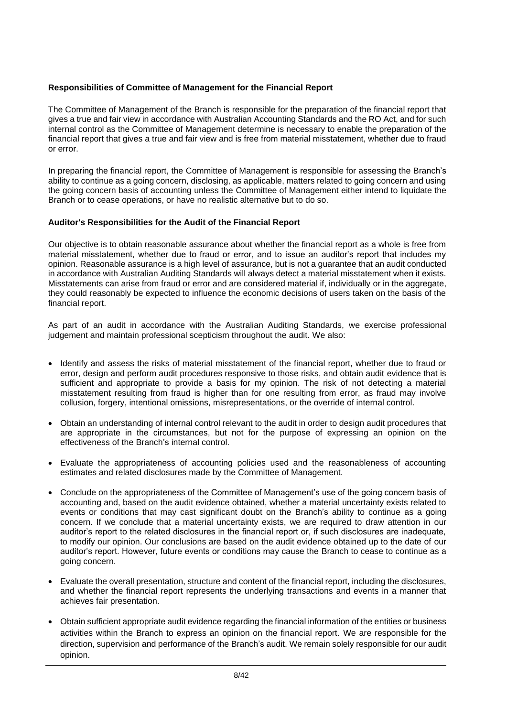# **Responsibilities of Committee of Management for the Financial Report**

The Committee of Management of the Branch is responsible for the preparation of the financial report that gives a true and fair view in accordance with Australian Accounting Standards and the RO Act, and for such internal control as the Committee of Management determine is necessary to enable the preparation of the financial report that gives a true and fair view and is free from material misstatement, whether due to fraud or error.

In preparing the financial report, the Committee of Management is responsible for assessing the Branch's ability to continue as a going concern, disclosing, as applicable, matters related to going concern and using the going concern basis of accounting unless the Committee of Management either intend to liquidate the Branch or to cease operations, or have no realistic alternative but to do so.

# **Auditor's Responsibilities for the Audit of the Financial Report**

Our objective is to obtain reasonable assurance about whether the financial report as a whole is free from material misstatement, whether due to fraud or error, and to issue an auditor's report that includes my opinion. Reasonable assurance is a high level of assurance, but is not a guarantee that an audit conducted in accordance with Australian Auditing Standards will always detect a material misstatement when it exists. Misstatements can arise from fraud or error and are considered material if, individually or in the aggregate, they could reasonably be expected to influence the economic decisions of users taken on the basis of the financial report.

As part of an audit in accordance with the Australian Auditing Standards, we exercise professional judgement and maintain professional scepticism throughout the audit. We also:

- Identify and assess the risks of material misstatement of the financial report, whether due to fraud or error, design and perform audit procedures responsive to those risks, and obtain audit evidence that is sufficient and appropriate to provide a basis for my opinion. The risk of not detecting a material misstatement resulting from fraud is higher than for one resulting from error, as fraud may involve collusion, forgery, intentional omissions, misrepresentations, or the override of internal control.
- Obtain an understanding of internal control relevant to the audit in order to design audit procedures that are appropriate in the circumstances, but not for the purpose of expressing an opinion on the effectiveness of the Branch's internal control.
- Evaluate the appropriateness of accounting policies used and the reasonableness of accounting estimates and related disclosures made by the Committee of Management.
- Conclude on the appropriateness of the Committee of Management's use of the going concern basis of accounting and, based on the audit evidence obtained, whether a material uncertainty exists related to events or conditions that may cast significant doubt on the Branch's ability to continue as a going concern. If we conclude that a material uncertainty exists, we are required to draw attention in our auditor's report to the related disclosures in the financial report or, if such disclosures are inadequate, to modify our opinion. Our conclusions are based on the audit evidence obtained up to the date of our auditor's report. However, future events or conditions may cause the Branch to cease to continue as a going concern.
- Evaluate the overall presentation, structure and content of the financial report, including the disclosures, and whether the financial report represents the underlying transactions and events in a manner that achieves fair presentation.
- Obtain sufficient appropriate audit evidence regarding the financial information of the entities or business activities within the Branch to express an opinion on the financial report. We are responsible for the direction, supervision and performance of the Branch's audit. We remain solely responsible for our audit opinion.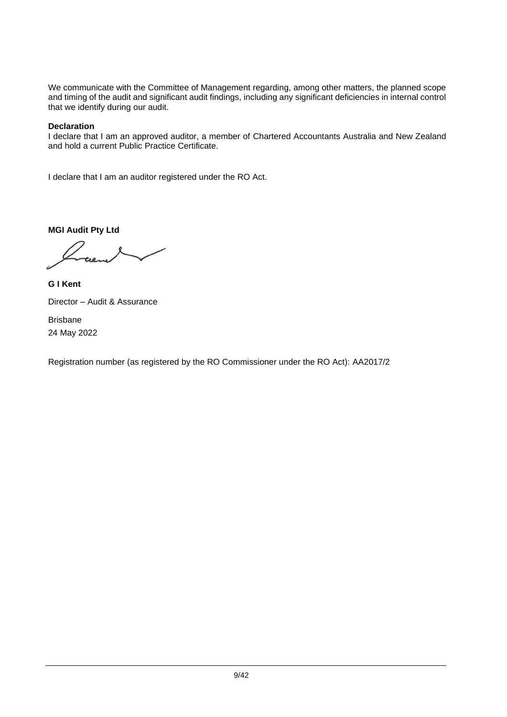We communicate with the Committee of Management regarding, among other matters, the planned scope and timing of the audit and significant audit findings, including any significant deficiencies in internal control that we identify during our audit.

# **Declaration**

I declare that I am an approved auditor, a member of Chartered Accountants Australia and New Zealand and hold a current Public Practice Certificate.

I declare that I am an auditor registered under the RO Act.

**MGI Audit Pty Ltd**

**G I Kent** Director – Audit & Assurance Brisbane

24 May 2022

Registration number (as registered by the RO Commissioner under the RO Act): AA2017/2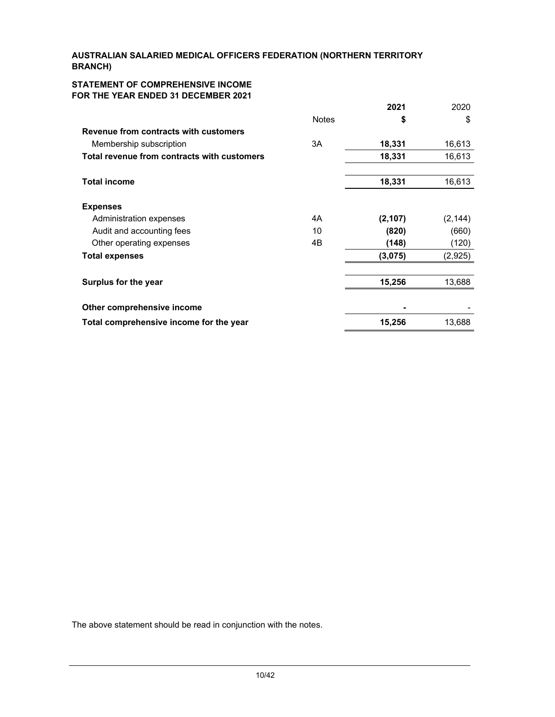### **STATEMENT OF COMPREHENSIVE INCOME FOR THE YEAR ENDED 31 DECEMBER 2021**

|                                             |              | 2021     | 2020     |
|---------------------------------------------|--------------|----------|----------|
|                                             | <b>Notes</b> | \$       | \$       |
| Revenue from contracts with customers       |              |          |          |
| Membership subscription                     | 3A           | 18,331   | 16,613   |
| Total revenue from contracts with customers |              | 18,331   | 16,613   |
|                                             |              |          |          |
| <b>Total income</b>                         |              | 18,331   | 16,613   |
|                                             |              |          |          |
| <b>Expenses</b>                             |              |          |          |
| Administration expenses                     | 4A           | (2, 107) | (2, 144) |
| Audit and accounting fees                   | 10           | (820)    | (660)    |
| Other operating expenses                    | 4B           | (148)    | (120)    |
| <b>Total expenses</b>                       |              | (3,075)  | (2,925)  |
|                                             |              |          |          |
| Surplus for the year                        |              | 15,256   | 13,688   |
|                                             |              |          |          |
| Other comprehensive income                  |              |          |          |
| Total comprehensive income for the year     |              | 15,256   | 13,688   |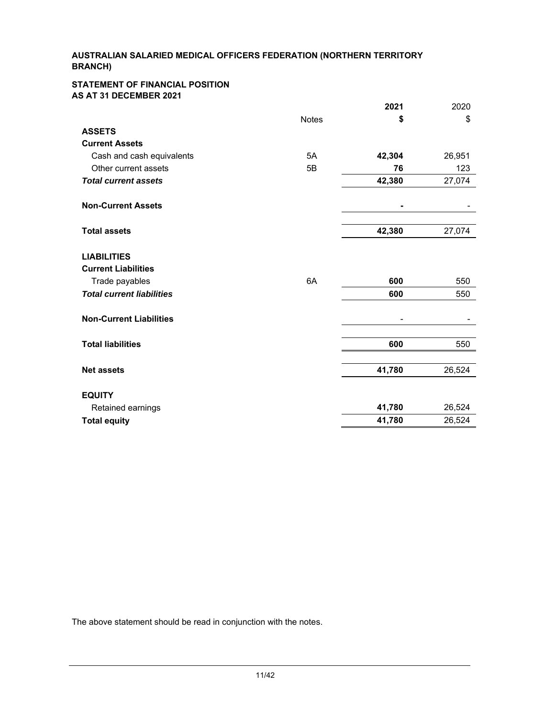#### **STATEMENT OF FINANCIAL POSITION AS AT 31 DECEMBER 2021**

|                                                  |              | 2021   | 2020   |
|--------------------------------------------------|--------------|--------|--------|
|                                                  | <b>Notes</b> | \$     | \$     |
| <b>ASSETS</b>                                    |              |        |        |
| <b>Current Assets</b>                            |              |        |        |
| Cash and cash equivalents                        | 5A           | 42,304 | 26,951 |
| Other current assets                             | 5B           | 76     | 123    |
| <b>Total current assets</b>                      |              | 42,380 | 27,074 |
| <b>Non-Current Assets</b>                        |              |        |        |
| <b>Total assets</b>                              |              | 42,380 | 27,074 |
| <b>LIABILITIES</b><br><b>Current Liabilities</b> |              |        |        |
| Trade payables                                   | 6A           | 600    | 550    |
| <b>Total current liabilities</b>                 |              | 600    | 550    |
| <b>Non-Current Liabilities</b>                   |              |        |        |
| <b>Total liabilities</b>                         |              | 600    | 550    |
| <b>Net assets</b>                                |              | 41,780 | 26,524 |
| <b>EQUITY</b>                                    |              |        |        |
| Retained earnings                                |              | 41,780 | 26,524 |
| <b>Total equity</b>                              |              | 41,780 | 26,524 |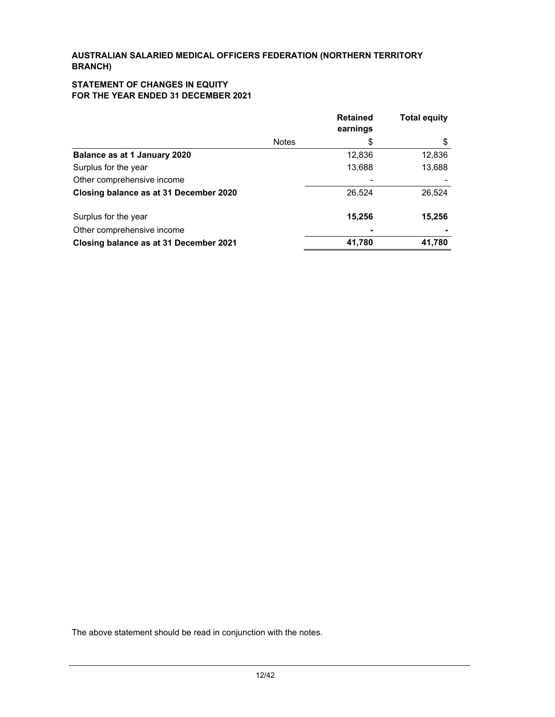### **STATEMENT OF CHANGES IN EQUITY FOR THE YEAR ENDED 31 DECEMBER 2021**

|                                        |              | <b>Retained</b><br>earnings | <b>Total equity</b> |
|----------------------------------------|--------------|-----------------------------|---------------------|
|                                        | <b>Notes</b> | \$                          | \$                  |
| Balance as at 1 January 2020           |              | 12,836                      | 12,836              |
| Surplus for the year                   |              | 13,688                      | 13,688              |
| Other comprehensive income             |              |                             |                     |
| Closing balance as at 31 December 2020 |              | 26,524                      | 26,524              |
| Surplus for the year                   |              | 15,256                      | 15,256              |
| Other comprehensive income             |              |                             |                     |
| Closing balance as at 31 December 2021 |              | 41,780                      | 41,780              |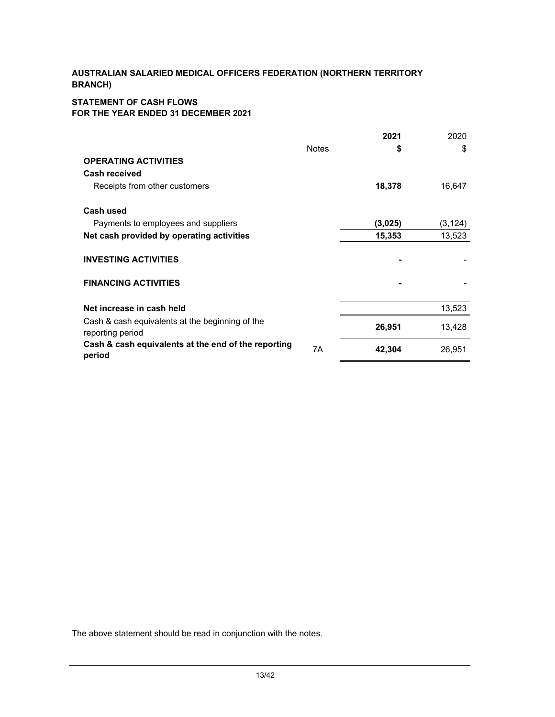# **STATEMENT OF CASH FLOWS FOR THE YEAR ENDED 31 DECEMBER 2021**

|                                                                     |              | 2021    | 2020     |
|---------------------------------------------------------------------|--------------|---------|----------|
|                                                                     | <b>Notes</b> | \$      | \$       |
| <b>OPERATING ACTIVITIES</b>                                         |              |         |          |
| Cash received                                                       |              |         |          |
| Receipts from other customers                                       |              | 18,378  | 16,647   |
| Cash used                                                           |              |         |          |
| Payments to employees and suppliers                                 |              | (3,025) | (3, 124) |
| Net cash provided by operating activities                           |              | 15,353  | 13,523   |
| <b>INVESTING ACTIVITIES</b>                                         |              |         |          |
| <b>FINANCING ACTIVITIES</b>                                         |              |         |          |
| Net increase in cash held                                           |              |         | 13,523   |
| Cash & cash equivalents at the beginning of the<br>reporting period |              | 26,951  | 13,428   |
| Cash & cash equivalents at the end of the reporting<br>period       | 7Α           | 42,304  | 26,951   |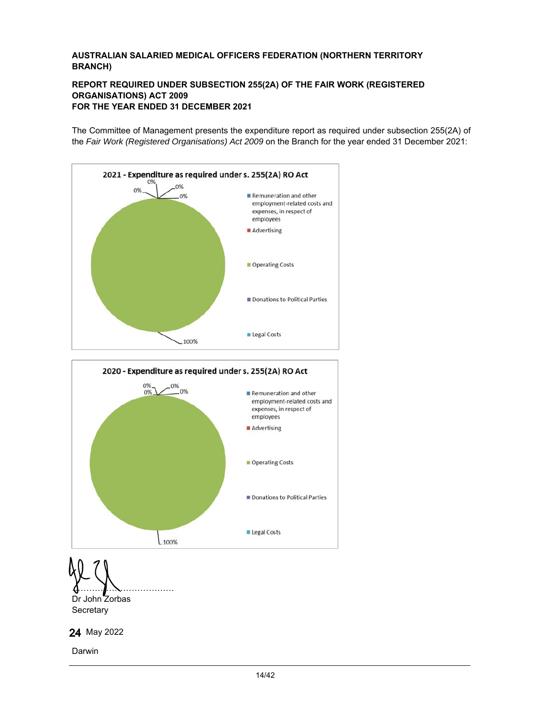### **REPORT REQUIRED UNDER SUBSECTION 255(2A) OF THE FAIR WORK (REGISTERED ORGANISATIONS) ACT 2009 FOR THE YEAR ENDED 31 DECEMBER 2021**

The Committee of Management presents the expenditure report as required under subsection 255(2A) of the *Fair Work (Registered Organisations) Act 2009* on the Branch for the year ended 31 December 2021:





……………………………… Dr John Zorbas **Secretary** 



Darwin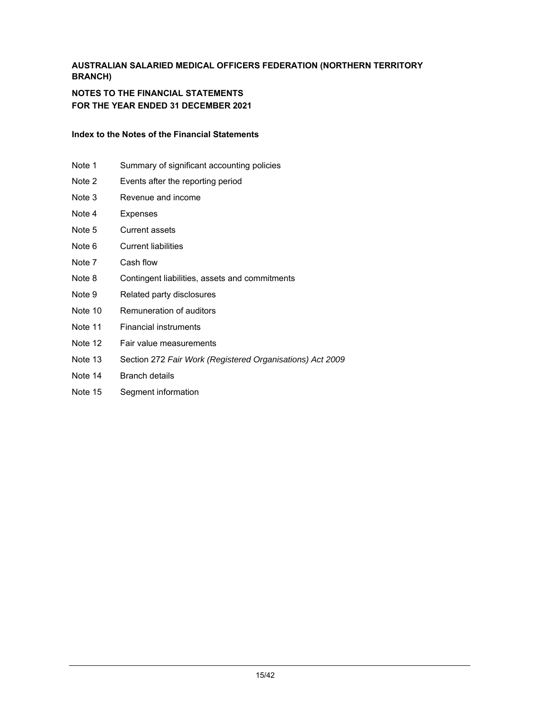### **NOTES TO THE FINANCIAL STATEMENTS FOR THE YEAR ENDED 31 DECEMBER 2021**

### **Index to the Notes of the Financial Statements**

- Note 1 Summary of significant accounting policies
- Note 2 Events after the reporting period
- Note 3 Revenue and income
- Note 4 Expenses
- Note 5 Current assets
- Note 6 Current liabilities
- Note 7 Cash flow
- Note 8 Contingent liabilities, assets and commitments
- Note 9 Related party disclosures
- Note 10 Remuneration of auditors
- Note 11 Financial instruments
- Note 12 Fair value measurements
- Note 13 Section 272 *Fair Work (Registered Organisations) Act 2009*
- Note 14 Branch details
- Note 15 Segment information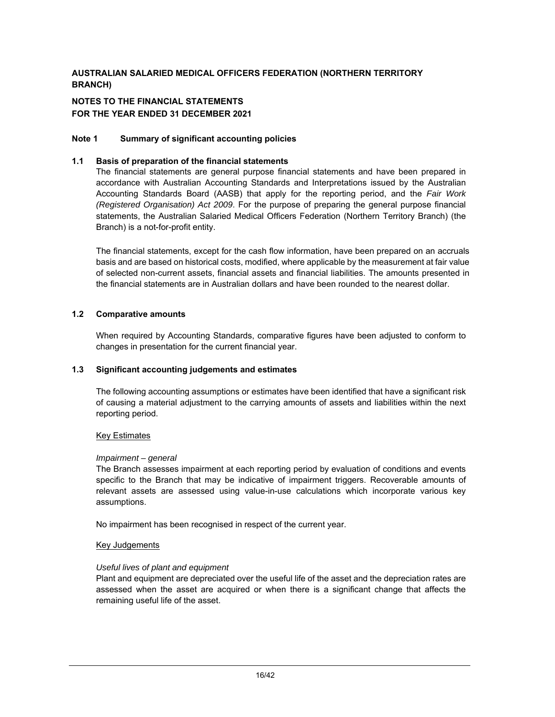### **NOTES TO THE FINANCIAL STATEMENTS FOR THE YEAR ENDED 31 DECEMBER 2021**

### **Note 1 Summary of significant accounting policies**

### **1.1 Basis of preparation of the financial statements**

 The financial statements are general purpose financial statements and have been prepared in accordance with Australian Accounting Standards and Interpretations issued by the Australian Accounting Standards Board (AASB) that apply for the reporting period, and the *Fair Work (Registered Organisation) Act 2009*. For the purpose of preparing the general purpose financial statements, the Australian Salaried Medical Officers Federation (Northern Territory Branch) (the Branch) is a not-for-profit entity.

The financial statements, except for the cash flow information, have been prepared on an accruals basis and are based on historical costs, modified, where applicable by the measurement at fair value of selected non-current assets, financial assets and financial liabilities. The amounts presented in the financial statements are in Australian dollars and have been rounded to the nearest dollar.

### **1.2 Comparative amounts**

When required by Accounting Standards, comparative figures have been adjusted to conform to changes in presentation for the current financial year.

### **1.3 Significant accounting judgements and estimates**

The following accounting assumptions or estimates have been identified that have a significant risk of causing a material adjustment to the carrying amounts of assets and liabilities within the next reporting period.

### Key Estimates

### *Impairment – general*

The Branch assesses impairment at each reporting period by evaluation of conditions and events specific to the Branch that may be indicative of impairment triggers. Recoverable amounts of relevant assets are assessed using value-in-use calculations which incorporate various key assumptions.

No impairment has been recognised in respect of the current year.

### Key Judgements

### *Useful lives of plant and equipment*

Plant and equipment are depreciated over the useful life of the asset and the depreciation rates are assessed when the asset are acquired or when there is a significant change that affects the remaining useful life of the asset.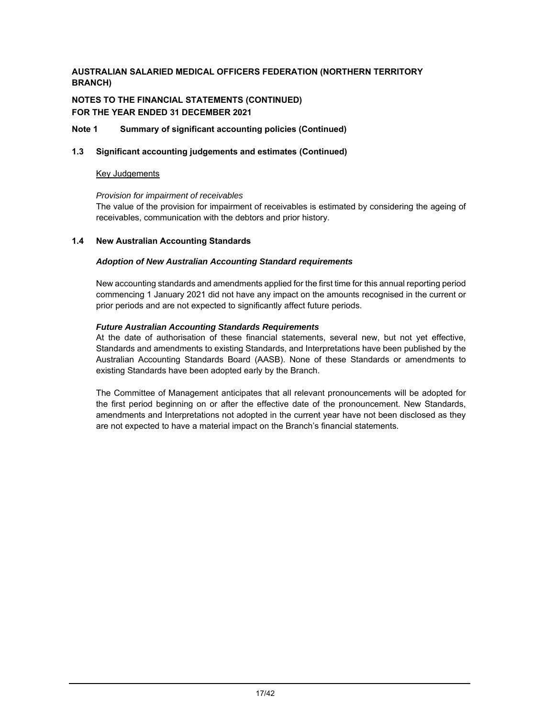# **NOTES TO THE FINANCIAL STATEMENTS (CONTINUED) FOR THE YEAR ENDED 31 DECEMBER 2021**

### **Note 1 Summary of significant accounting policies (Continued)**

### **1.3 Significant accounting judgements and estimates (Continued)**

### Key Judgements

### *Provision for impairment of receivables*

The value of the provision for impairment of receivables is estimated by considering the ageing of receivables, communication with the debtors and prior history.

### **1.4 New Australian Accounting Standards**

### *Adoption of New Australian Accounting Standard requirements*

 New accounting standards and amendments applied for the first time for this annual reporting period commencing 1 January 2021 did not have any impact on the amounts recognised in the current or prior periods and are not expected to significantly affect future periods.

### *Future Australian Accounting Standards Requirements*

At the date of authorisation of these financial statements, several new, but not yet effective, Standards and amendments to existing Standards, and Interpretations have been published by the Australian Accounting Standards Board (AASB). None of these Standards or amendments to existing Standards have been adopted early by the Branch.

The Committee of Management anticipates that all relevant pronouncements will be adopted for the first period beginning on or after the effective date of the pronouncement. New Standards, amendments and Interpretations not adopted in the current year have not been disclosed as they are not expected to have a material impact on the Branch's financial statements.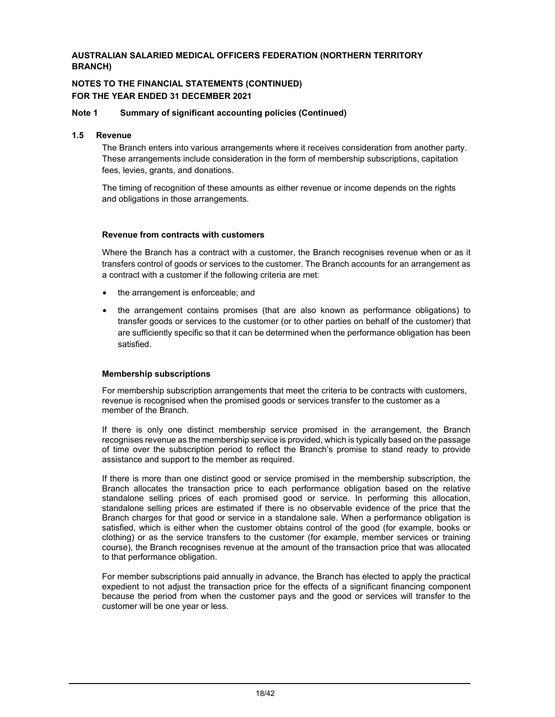### **NOTES TO THE FINANCIAL STATEMENTS (CONTINUED) FOR THE YEAR ENDED 31 DECEMBER 2021**

#### **Note 1 Summary of significant accounting policies (Continued)**

#### **1.5 Revenue**

The Branch enters into various arrangements where it receives consideration from another party. These arrangements include consideration in the form of membership subscriptions, capitation fees, levies, grants, and donations.

The timing of recognition of these amounts as either revenue or income depends on the rights and obligations in those arrangements.

#### **Revenue from contracts with customers**

Where the Branch has a contract with a customer, the Branch recognises revenue when or as it transfers control of goods or services to the customer. The Branch accounts for an arrangement as a contract with a customer if the following criteria are met:

- the arrangement is enforceable; and
- the arrangement contains promises (that are also known as performance obligations) to transfer goods or services to the customer (or to other parties on behalf of the customer) that are sufficiently specific so that it can be determined when the performance obligation has been satisfied.

#### **Membership subscriptions**

For membership subscription arrangements that meet the criteria to be contracts with customers, revenue is recognised when the promised goods or services transfer to the customer as a member of the Branch.

If there is only one distinct membership service promised in the arrangement, the Branch recognises revenue as the membership service is provided, which is typically based on the passage of time over the subscription period to reflect the Branch's promise to stand ready to provide assistance and support to the member as required.

If there is more than one distinct good or service promised in the membership subscription, the Branch allocates the transaction price to each performance obligation based on the relative standalone selling prices of each promised good or service. In performing this allocation, standalone selling prices are estimated if there is no observable evidence of the price that the Branch charges for that good or service in a standalone sale. When a performance obligation is satisfied, which is either when the customer obtains control of the good (for example, books or clothing) or as the service transfers to the customer (for example, member services or training course), the Branch recognises revenue at the amount of the transaction price that was allocated to that performance obligation.

For member subscriptions paid annually in advance, the Branch has elected to apply the practical expedient to not adjust the transaction price for the effects of a significant financing component because the period from when the customer pays and the good or services will transfer to the customer will be one year or less.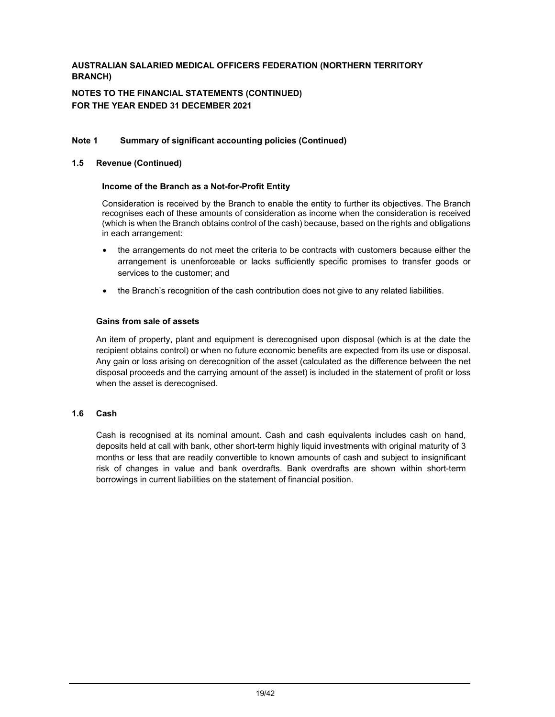### **NOTES TO THE FINANCIAL STATEMENTS (CONTINUED) FOR THE YEAR ENDED 31 DECEMBER 2021**

### **Note 1 Summary of significant accounting policies (Continued)**

### **1.5 Revenue (Continued)**

### **Income of the Branch as a Not-for-Profit Entity**

Consideration is received by the Branch to enable the entity to further its objectives. The Branch recognises each of these amounts of consideration as income when the consideration is received (which is when the Branch obtains control of the cash) because, based on the rights and obligations in each arrangement:

- the arrangements do not meet the criteria to be contracts with customers because either the arrangement is unenforceable or lacks sufficiently specific promises to transfer goods or services to the customer; and
- the Branch's recognition of the cash contribution does not give to any related liabilities.

### **Gains from sale of assets**

An item of property, plant and equipment is derecognised upon disposal (which is at the date the recipient obtains control) or when no future economic benefits are expected from its use or disposal. Any gain or loss arising on derecognition of the asset (calculated as the difference between the net disposal proceeds and the carrying amount of the asset) is included in the statement of profit or loss when the asset is derecognised.

### **1.6 Cash**

 Cash is recognised at its nominal amount. Cash and cash equivalents includes cash on hand, deposits held at call with bank, other short-term highly liquid investments with original maturity of 3 months or less that are readily convertible to known amounts of cash and subject to insignificant risk of changes in value and bank overdrafts. Bank overdrafts are shown within short-term borrowings in current liabilities on the statement of financial position.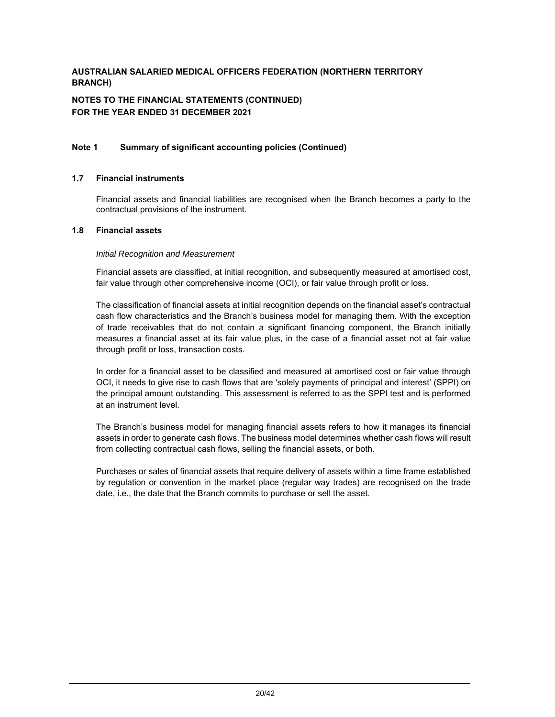# **NOTES TO THE FINANCIAL STATEMENTS (CONTINUED) FOR THE YEAR ENDED 31 DECEMBER 2021**

### **Note 1 Summary of significant accounting policies (Continued)**

#### **1.7 Financial instruments**

Financial assets and financial liabilities are recognised when the Branch becomes a party to the contractual provisions of the instrument.

#### **1.8 Financial assets**

#### *Initial Recognition and Measurement*

Financial assets are classified, at initial recognition, and subsequently measured at amortised cost, fair value through other comprehensive income (OCI), or fair value through profit or loss.

The classification of financial assets at initial recognition depends on the financial asset's contractual cash flow characteristics and the Branch's business model for managing them. With the exception of trade receivables that do not contain a significant financing component, the Branch initially measures a financial asset at its fair value plus, in the case of a financial asset not at fair value through profit or loss, transaction costs.

In order for a financial asset to be classified and measured at amortised cost or fair value through OCI, it needs to give rise to cash flows that are 'solely payments of principal and interest' (SPPI) on the principal amount outstanding. This assessment is referred to as the SPPI test and is performed at an instrument level.

The Branch's business model for managing financial assets refers to how it manages its financial assets in order to generate cash flows. The business model determines whether cash flows will result from collecting contractual cash flows, selling the financial assets, or both.

Purchases or sales of financial assets that require delivery of assets within a time frame established by regulation or convention in the market place (regular way trades) are recognised on the trade date, i.e., the date that the Branch commits to purchase or sell the asset.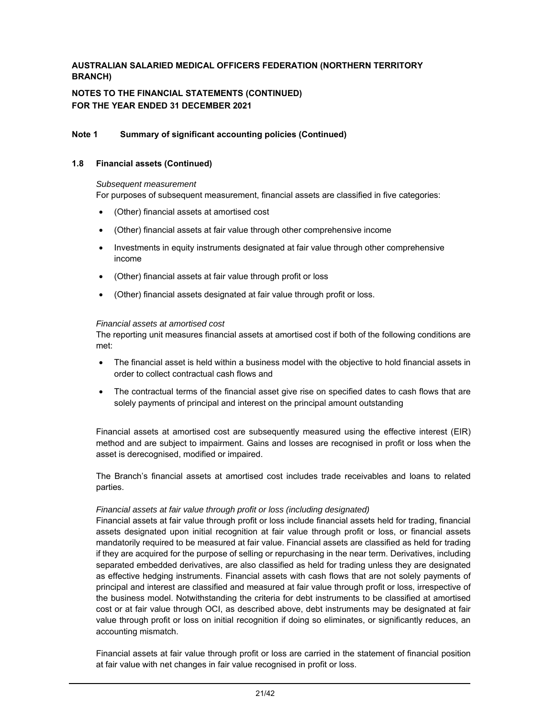### **NOTES TO THE FINANCIAL STATEMENTS (CONTINUED) FOR THE YEAR ENDED 31 DECEMBER 2021**

### **Note 1 Summary of significant accounting policies (Continued)**

#### **1.8 Financial assets (Continued)**

#### *Subsequent measurement*

For purposes of subsequent measurement, financial assets are classified in five categories:

- (Other) financial assets at amortised cost
- (Other) financial assets at fair value through other comprehensive income
- Investments in equity instruments designated at fair value through other comprehensive income
- (Other) financial assets at fair value through profit or loss
- (Other) financial assets designated at fair value through profit or loss.

### *Financial assets at amortised cost*

The reporting unit measures financial assets at amortised cost if both of the following conditions are met:

- The financial asset is held within a business model with the objective to hold financial assets in order to collect contractual cash flows and
- The contractual terms of the financial asset give rise on specified dates to cash flows that are solely payments of principal and interest on the principal amount outstanding

Financial assets at amortised cost are subsequently measured using the effective interest (EIR) method and are subject to impairment. Gains and losses are recognised in profit or loss when the asset is derecognised, modified or impaired.

The Branch's financial assets at amortised cost includes trade receivables and loans to related parties.

### *Financial assets at fair value through profit or loss (including designated)*

Financial assets at fair value through profit or loss include financial assets held for trading, financial assets designated upon initial recognition at fair value through profit or loss, or financial assets mandatorily required to be measured at fair value. Financial assets are classified as held for trading if they are acquired for the purpose of selling or repurchasing in the near term. Derivatives, including separated embedded derivatives, are also classified as held for trading unless they are designated as effective hedging instruments. Financial assets with cash flows that are not solely payments of principal and interest are classified and measured at fair value through profit or loss, irrespective of the business model. Notwithstanding the criteria for debt instruments to be classified at amortised cost or at fair value through OCI, as described above, debt instruments may be designated at fair value through profit or loss on initial recognition if doing so eliminates, or significantly reduces, an accounting mismatch.

Financial assets at fair value through profit or loss are carried in the statement of financial position at fair value with net changes in fair value recognised in profit or loss.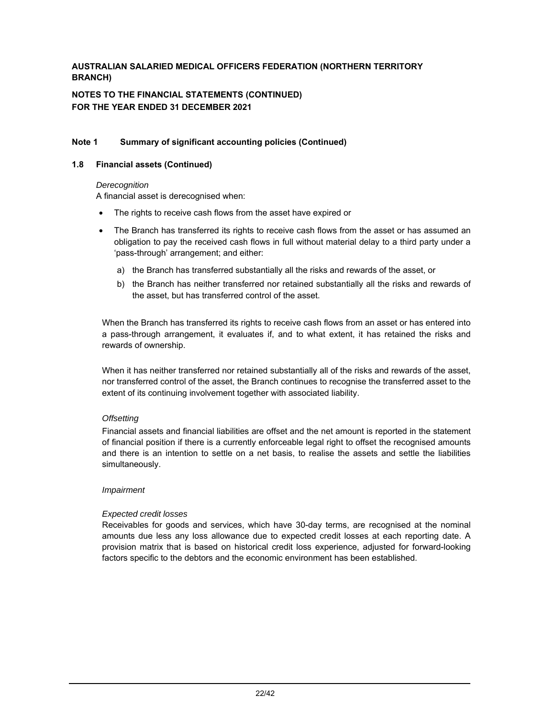# **NOTES TO THE FINANCIAL STATEMENTS (CONTINUED) FOR THE YEAR ENDED 31 DECEMBER 2021**

### **Note 1 Summary of significant accounting policies (Continued)**

#### **1.8 Financial assets (Continued)**

#### *Derecognition*

A financial asset is derecognised when:

- The rights to receive cash flows from the asset have expired or
- The Branch has transferred its rights to receive cash flows from the asset or has assumed an obligation to pay the received cash flows in full without material delay to a third party under a 'pass-through' arrangement; and either:
	- a) the Branch has transferred substantially all the risks and rewards of the asset, or
	- b) the Branch has neither transferred nor retained substantially all the risks and rewards of the asset, but has transferred control of the asset.

When the Branch has transferred its rights to receive cash flows from an asset or has entered into a pass-through arrangement, it evaluates if, and to what extent, it has retained the risks and rewards of ownership.

When it has neither transferred nor retained substantially all of the risks and rewards of the asset, nor transferred control of the asset, the Branch continues to recognise the transferred asset to the extent of its continuing involvement together with associated liability.

### *Offsetting*

Financial assets and financial liabilities are offset and the net amount is reported in the statement of financial position if there is a currently enforceable legal right to offset the recognised amounts and there is an intention to settle on a net basis, to realise the assets and settle the liabilities simultaneously.

### *Impairment*

### *Expected credit losses*

Receivables for goods and services, which have 30-day terms, are recognised at the nominal amounts due less any loss allowance due to expected credit losses at each reporting date. A provision matrix that is based on historical credit loss experience, adjusted for forward-looking factors specific to the debtors and the economic environment has been established.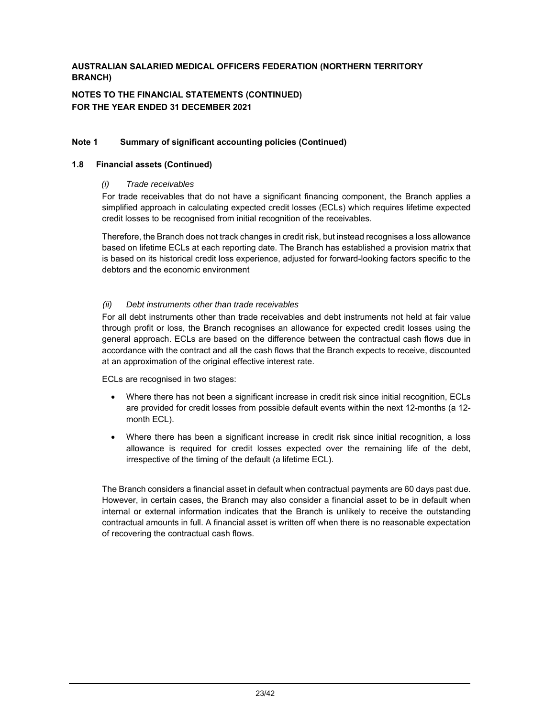# **NOTES TO THE FINANCIAL STATEMENTS (CONTINUED) FOR THE YEAR ENDED 31 DECEMBER 2021**

### **Note 1 Summary of significant accounting policies (Continued)**

### **1.8 Financial assets (Continued)**

### *(i) Trade receivables*

For trade receivables that do not have a significant financing component, the Branch applies a simplified approach in calculating expected credit losses (ECLs) which requires lifetime expected credit losses to be recognised from initial recognition of the receivables.

Therefore, the Branch does not track changes in credit risk, but instead recognises a loss allowance based on lifetime ECLs at each reporting date. The Branch has established a provision matrix that is based on its historical credit loss experience, adjusted for forward-looking factors specific to the debtors and the economic environment

### *(ii) Debt instruments other than trade receivables*

For all debt instruments other than trade receivables and debt instruments not held at fair value through profit or loss, the Branch recognises an allowance for expected credit losses using the general approach. ECLs are based on the difference between the contractual cash flows due in accordance with the contract and all the cash flows that the Branch expects to receive, discounted at an approximation of the original effective interest rate.

ECLs are recognised in two stages:

- Where there has not been a significant increase in credit risk since initial recognition, ECLs are provided for credit losses from possible default events within the next 12-months (a 12 month ECL).
- Where there has been a significant increase in credit risk since initial recognition, a loss allowance is required for credit losses expected over the remaining life of the debt, irrespective of the timing of the default (a lifetime ECL).

The Branch considers a financial asset in default when contractual payments are 60 days past due. However, in certain cases, the Branch may also consider a financial asset to be in default when internal or external information indicates that the Branch is unlikely to receive the outstanding contractual amounts in full. A financial asset is written off when there is no reasonable expectation of recovering the contractual cash flows.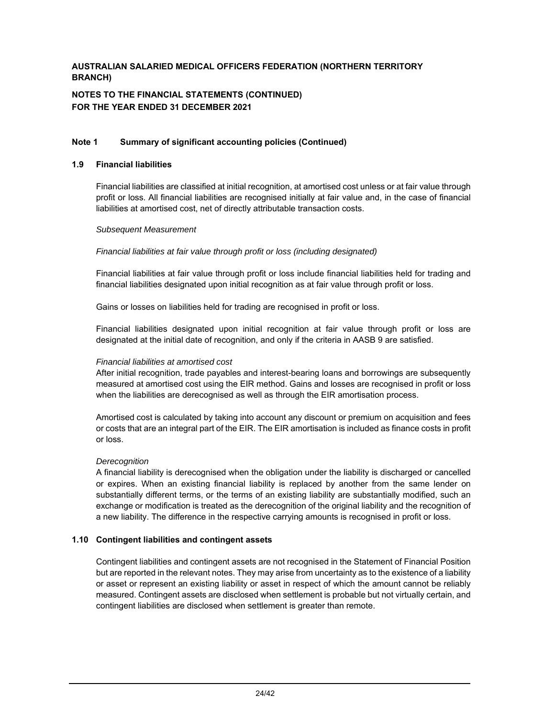### **NOTES TO THE FINANCIAL STATEMENTS (CONTINUED) FOR THE YEAR ENDED 31 DECEMBER 2021**

### **Note 1 Summary of significant accounting policies (Continued)**

#### **1.9 Financial liabilities**

Financial liabilities are classified at initial recognition, at amortised cost unless or at fair value through profit or loss. All financial liabilities are recognised initially at fair value and, in the case of financial liabilities at amortised cost, net of directly attributable transaction costs.

#### *Subsequent Measurement*

### *Financial liabilities at fair value through profit or loss (including designated)*

Financial liabilities at fair value through profit or loss include financial liabilities held for trading and financial liabilities designated upon initial recognition as at fair value through profit or loss.

Gains or losses on liabilities held for trading are recognised in profit or loss.

Financial liabilities designated upon initial recognition at fair value through profit or loss are designated at the initial date of recognition, and only if the criteria in AASB 9 are satisfied.

#### *Financial liabilities at amortised cost*

After initial recognition, trade payables and interest-bearing loans and borrowings are subsequently measured at amortised cost using the EIR method. Gains and losses are recognised in profit or loss when the liabilities are derecognised as well as through the EIR amortisation process.

Amortised cost is calculated by taking into account any discount or premium on acquisition and fees or costs that are an integral part of the EIR. The EIR amortisation is included as finance costs in profit or loss.

#### *Derecognition*

A financial liability is derecognised when the obligation under the liability is discharged or cancelled or expires. When an existing financial liability is replaced by another from the same lender on substantially different terms, or the terms of an existing liability are substantially modified, such an exchange or modification is treated as the derecognition of the original liability and the recognition of a new liability. The difference in the respective carrying amounts is recognised in profit or loss.

### **1.10 Contingent liabilities and contingent assets**

 Contingent liabilities and contingent assets are not recognised in the Statement of Financial Position but are reported in the relevant notes. They may arise from uncertainty as to the existence of a liability or asset or represent an existing liability or asset in respect of which the amount cannot be reliably measured. Contingent assets are disclosed when settlement is probable but not virtually certain, and contingent liabilities are disclosed when settlement is greater than remote.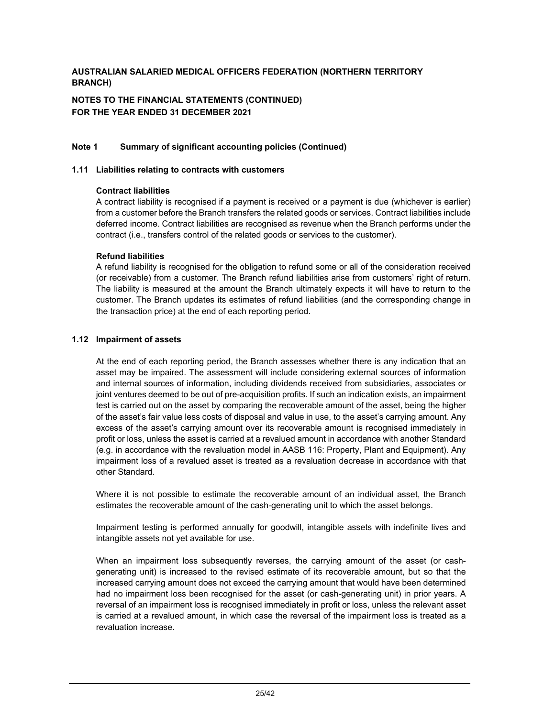**NOTES TO THE FINANCIAL STATEMENTS (CONTINUED) FOR THE YEAR ENDED 31 DECEMBER 2021** 

### **Note 1 Summary of significant accounting policies (Continued)**

#### **1.11 Liabilities relating to contracts with customers**

#### **Contract liabilities**

A contract liability is recognised if a payment is received or a payment is due (whichever is earlier) from a customer before the Branch transfers the related goods or services. Contract liabilities include deferred income. Contract liabilities are recognised as revenue when the Branch performs under the contract (i.e., transfers control of the related goods or services to the customer).

### **Refund liabilities**

A refund liability is recognised for the obligation to refund some or all of the consideration received (or receivable) from a customer. The Branch refund liabilities arise from customers' right of return. The liability is measured at the amount the Branch ultimately expects it will have to return to the customer. The Branch updates its estimates of refund liabilities (and the corresponding change in the transaction price) at the end of each reporting period.

#### **1.12 Impairment of assets**

At the end of each reporting period, the Branch assesses whether there is any indication that an asset may be impaired. The assessment will include considering external sources of information and internal sources of information, including dividends received from subsidiaries, associates or joint ventures deemed to be out of pre-acquisition profits. If such an indication exists, an impairment test is carried out on the asset by comparing the recoverable amount of the asset, being the higher of the asset's fair value less costs of disposal and value in use, to the asset's carrying amount. Any excess of the asset's carrying amount over its recoverable amount is recognised immediately in profit or loss, unless the asset is carried at a revalued amount in accordance with another Standard (e.g. in accordance with the revaluation model in AASB 116: Property, Plant and Equipment). Any impairment loss of a revalued asset is treated as a revaluation decrease in accordance with that other Standard.

Where it is not possible to estimate the recoverable amount of an individual asset, the Branch estimates the recoverable amount of the cash-generating unit to which the asset belongs.

Impairment testing is performed annually for goodwill, intangible assets with indefinite lives and intangible assets not yet available for use.

When an impairment loss subsequently reverses, the carrying amount of the asset (or cashgenerating unit) is increased to the revised estimate of its recoverable amount, but so that the increased carrying amount does not exceed the carrying amount that would have been determined had no impairment loss been recognised for the asset (or cash-generating unit) in prior years. A reversal of an impairment loss is recognised immediately in profit or loss, unless the relevant asset is carried at a revalued amount, in which case the reversal of the impairment loss is treated as a revaluation increase.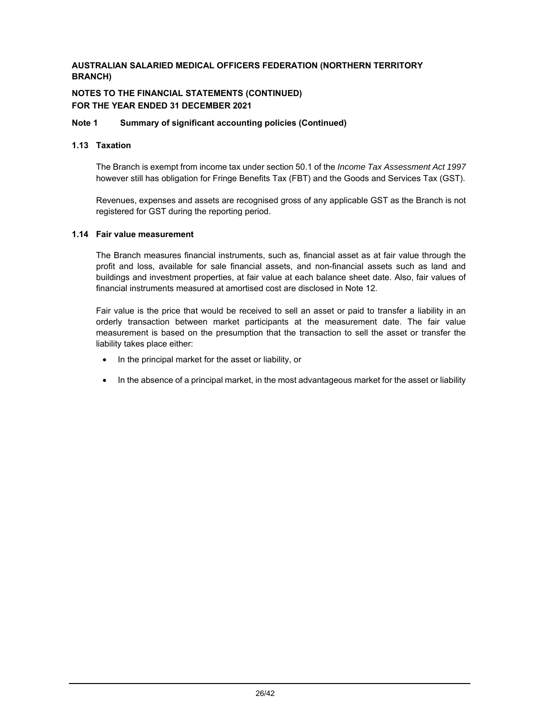### **NOTES TO THE FINANCIAL STATEMENTS (CONTINUED) FOR THE YEAR ENDED 31 DECEMBER 2021**

### **Note 1 Summary of significant accounting policies (Continued)**

### **1.13 Taxation**

 The Branch is exempt from income tax under section 50.1 of the *Income Tax Assessment Act 1997* however still has obligation for Fringe Benefits Tax (FBT) and the Goods and Services Tax (GST).

 Revenues, expenses and assets are recognised gross of any applicable GST as the Branch is not registered for GST during the reporting period.

### **1.14 Fair value measurement**

The Branch measures financial instruments, such as, financial asset as at fair value through the profit and loss, available for sale financial assets, and non-financial assets such as land and buildings and investment properties, at fair value at each balance sheet date. Also, fair values of financial instruments measured at amortised cost are disclosed in Note 12.

Fair value is the price that would be received to sell an asset or paid to transfer a liability in an orderly transaction between market participants at the measurement date. The fair value measurement is based on the presumption that the transaction to sell the asset or transfer the liability takes place either:

- In the principal market for the asset or liability, or
- In the absence of a principal market, in the most advantageous market for the asset or liability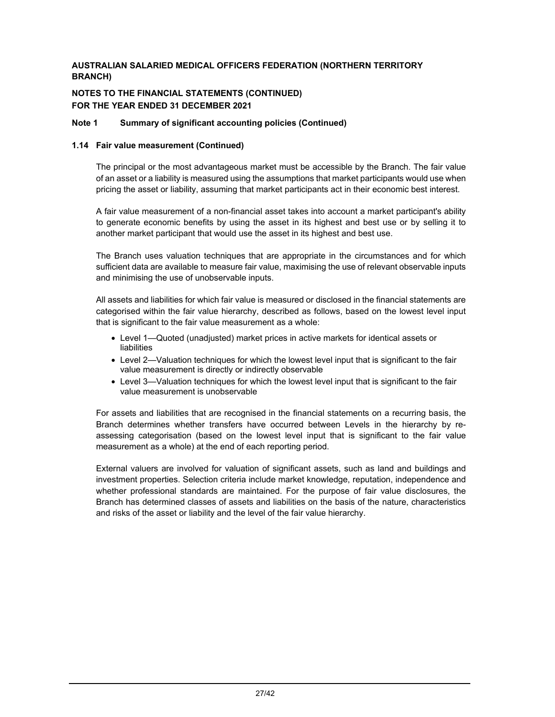### **NOTES TO THE FINANCIAL STATEMENTS (CONTINUED) FOR THE YEAR ENDED 31 DECEMBER 2021**

### **Note 1 Summary of significant accounting policies (Continued)**

### **1.14 Fair value measurement (Continued)**

The principal or the most advantageous market must be accessible by the Branch. The fair value of an asset or a liability is measured using the assumptions that market participants would use when pricing the asset or liability, assuming that market participants act in their economic best interest.

A fair value measurement of a non-financial asset takes into account a market participant's ability to generate economic benefits by using the asset in its highest and best use or by selling it to another market participant that would use the asset in its highest and best use.

The Branch uses valuation techniques that are appropriate in the circumstances and for which sufficient data are available to measure fair value, maximising the use of relevant observable inputs and minimising the use of unobservable inputs.

All assets and liabilities for which fair value is measured or disclosed in the financial statements are categorised within the fair value hierarchy, described as follows, based on the lowest level input that is significant to the fair value measurement as a whole:

- Level 1—Quoted (unadjusted) market prices in active markets for identical assets or liabilities
- Level 2—Valuation techniques for which the lowest level input that is significant to the fair value measurement is directly or indirectly observable
- Level 3—Valuation techniques for which the lowest level input that is significant to the fair value measurement is unobservable

For assets and liabilities that are recognised in the financial statements on a recurring basis, the Branch determines whether transfers have occurred between Levels in the hierarchy by reassessing categorisation (based on the lowest level input that is significant to the fair value measurement as a whole) at the end of each reporting period.

External valuers are involved for valuation of significant assets, such as land and buildings and investment properties. Selection criteria include market knowledge, reputation, independence and whether professional standards are maintained. For the purpose of fair value disclosures, the Branch has determined classes of assets and liabilities on the basis of the nature, characteristics and risks of the asset or liability and the level of the fair value hierarchy.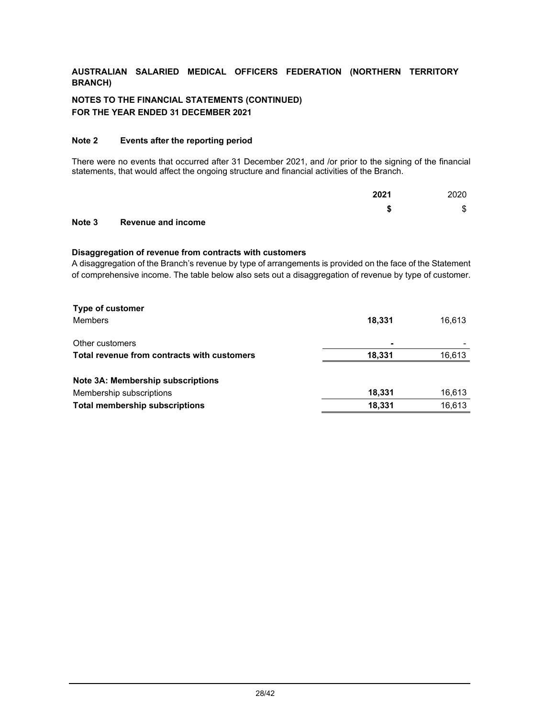# **NOTES TO THE FINANCIAL STATEMENTS (CONTINUED) FOR THE YEAR ENDED 31 DECEMBER 2021**

### **Note 2 Events after the reporting period**

There were no events that occurred after 31 December 2021, and /or prior to the signing of the financial statements, that would affect the ongoing structure and financial activities of the Branch.

|  |      | ₼<br>Œ |
|--|------|--------|
|  | 2021 | 2020   |

# **Note 3 Revenue and income**

#### **Disaggregation of revenue from contracts with customers**

A disaggregation of the Branch's revenue by type of arrangements is provided on the face of the Statement of comprehensive income. The table below also sets out a disaggregation of revenue by type of customer.

| <b>Type of customer</b>                     |        |        |
|---------------------------------------------|--------|--------|
| <b>Members</b>                              | 18.331 | 16.613 |
| Other customers                             | ۰      |        |
| Total revenue from contracts with customers | 18.331 | 16,613 |
| Note 3A: Membership subscriptions           |        |        |
| Membership subscriptions                    | 18,331 | 16,613 |
| <b>Total membership subscriptions</b>       | 18,331 | 16.613 |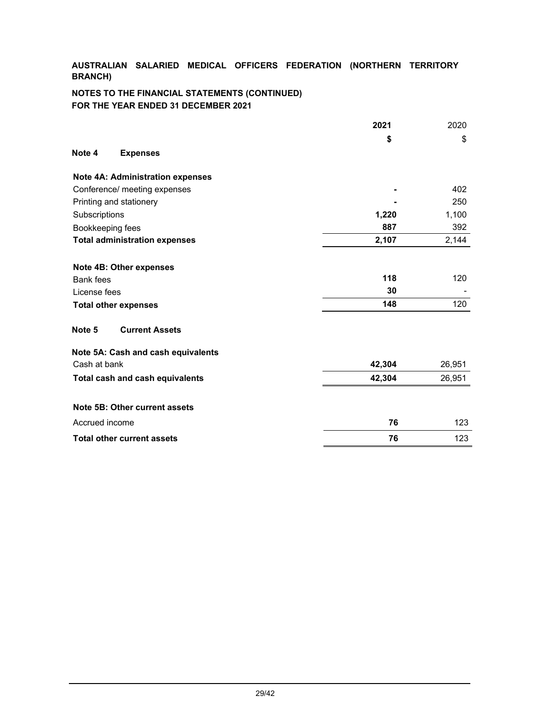# **NOTES TO THE FINANCIAL STATEMENTS (CONTINUED) FOR THE YEAR ENDED 31 DECEMBER 2021**

|                                         | 2021   | 2020   |
|-----------------------------------------|--------|--------|
|                                         | \$     | \$     |
| Note 4<br><b>Expenses</b>               |        |        |
| <b>Note 4A: Administration expenses</b> |        |        |
| Conference/ meeting expenses            |        | 402    |
| Printing and stationery                 |        | 250    |
| Subscriptions                           | 1,220  | 1,100  |
| Bookkeeping fees                        | 887    | 392    |
| <b>Total administration expenses</b>    | 2,107  | 2,144  |
| Note 4B: Other expenses                 |        |        |
| <b>Bank</b> fees                        | 118    | 120    |
| License fees                            | 30     |        |
| <b>Total other expenses</b>             | 148    | 120    |
| Note 5<br><b>Current Assets</b>         |        |        |
| Note 5A: Cash and cash equivalents      |        |        |
| Cash at bank                            | 42,304 | 26,951 |
| Total cash and cash equivalents         | 42,304 | 26,951 |
| Note 5B: Other current assets           |        |        |
| Accrued income                          | 76     | 123    |
| <b>Total other current assets</b>       | 76     | 123    |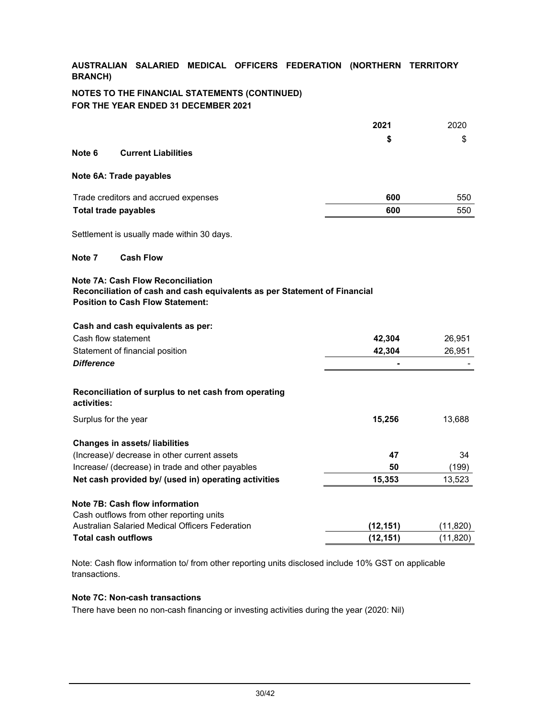### **NOTES TO THE FINANCIAL STATEMENTS (CONTINUED) FOR THE YEAR ENDED 31 DECEMBER 2021**

|                                                                                                                                                                  | 2021      | 2020      |
|------------------------------------------------------------------------------------------------------------------------------------------------------------------|-----------|-----------|
|                                                                                                                                                                  | \$        | \$        |
| Note 6<br><b>Current Liabilities</b>                                                                                                                             |           |           |
| Note 6A: Trade payables                                                                                                                                          |           |           |
| Trade creditors and accrued expenses                                                                                                                             | 600       | 550       |
| <b>Total trade payables</b>                                                                                                                                      | 600       | 550       |
| Settlement is usually made within 30 days.                                                                                                                       |           |           |
| Note 7<br><b>Cash Flow</b>                                                                                                                                       |           |           |
| <b>Note 7A: Cash Flow Reconciliation</b><br>Reconciliation of cash and cash equivalents as per Statement of Financial<br><b>Position to Cash Flow Statement:</b> |           |           |
| Cash and cash equivalents as per:                                                                                                                                |           |           |
| Cash flow statement                                                                                                                                              | 42,304    | 26,951    |
| Statement of financial position                                                                                                                                  | 42,304    | 26,951    |
| <b>Difference</b>                                                                                                                                                |           |           |
| Reconciliation of surplus to net cash from operating<br>activities:                                                                                              |           |           |
| Surplus for the year                                                                                                                                             | 15,256    | 13,688    |
| <b>Changes in assets/ liabilities</b>                                                                                                                            |           |           |
| (Increase)/ decrease in other current assets                                                                                                                     | 47        | 34        |
| Increase/ (decrease) in trade and other payables                                                                                                                 | 50        | (199)     |
| Net cash provided by/ (used in) operating activities                                                                                                             | 15,353    | 13,523    |
| Note 7B: Cash flow information                                                                                                                                   |           |           |
| Cash outflows from other reporting units                                                                                                                         |           |           |
| Australian Salaried Medical Officers Federation                                                                                                                  | (12, 151) | (11, 820) |
| <b>Total cash outflows</b>                                                                                                                                       | (12, 151) | (11, 820) |

Note: Cash flow information to/ from other reporting units disclosed include 10% GST on applicable transactions.

# **Note 7C: Non-cash transactions**

There have been no non-cash financing or investing activities during the year (2020: Nil)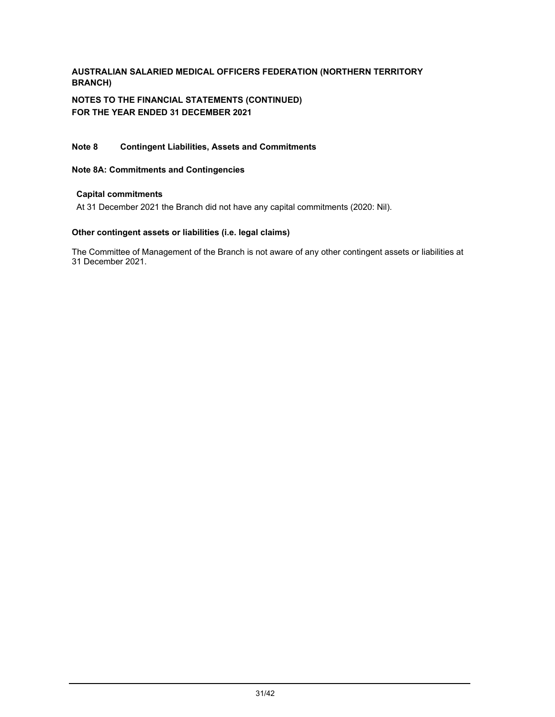**NOTES TO THE FINANCIAL STATEMENTS (CONTINUED) FOR THE YEAR ENDED 31 DECEMBER 2021** 

### **Note 8 Contingent Liabilities, Assets and Commitments**

### **Note 8A: Commitments and Contingencies**

### **Capital commitments**

At 31 December 2021 the Branch did not have any capital commitments (2020: Nil).

### **Other contingent assets or liabilities (i.e. legal claims)**

The Committee of Management of the Branch is not aware of any other contingent assets or liabilities at 31 December 2021.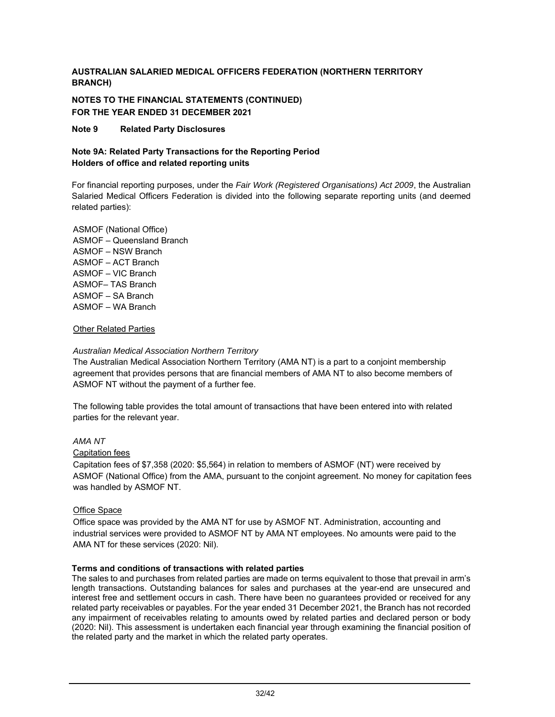**NOTES TO THE FINANCIAL STATEMENTS (CONTINUED) FOR THE YEAR ENDED 31 DECEMBER 2021** 

**Note 9 Related Party Disclosures** 

### **Note 9A: Related Party Transactions for the Reporting Period Holders of office and related reporting units**

For financial reporting purposes, under the *Fair Work (Registered Organisations) Act 2009*, the Australian Salaried Medical Officers Federation is divided into the following separate reporting units (and deemed related parties):

ASMOF (National Office) ASMOF – Queensland Branch ASMOF – NSW Branch ASMOF – ACT Branch ASMOF – VIC Branch ASMOF– TAS Branch ASMOF – SA Branch ASMOF – WA Branch

### Other Related Parties

### *Australian Medical Association Northern Territory*

The Australian Medical Association Northern Territory (AMA NT) is a part to a conjoint membership agreement that provides persons that are financial members of AMA NT to also become members of ASMOF NT without the payment of a further fee.

The following table provides the total amount of transactions that have been entered into with related parties for the relevant year.

### *AMA NT*

### Capitation fees

Capitation fees of \$7,358 (2020: \$5,564) in relation to members of ASMOF (NT) were received by ASMOF (National Office) from the AMA, pursuant to the conjoint agreement. No money for capitation fees was handled by ASMOF NT.

### Office Space

Office space was provided by the AMA NT for use by ASMOF NT. Administration, accounting and industrial services were provided to ASMOF NT by AMA NT employees. No amounts were paid to the AMA NT for these services (2020: Nil).

### **Terms and conditions of transactions with related parties**

The sales to and purchases from related parties are made on terms equivalent to those that prevail in arm's length transactions. Outstanding balances for sales and purchases at the year-end are unsecured and interest free and settlement occurs in cash. There have been no guarantees provided or received for any related party receivables or payables. For the year ended 31 December 2021, the Branch has not recorded any impairment of receivables relating to amounts owed by related parties and declared person or body (2020: Nil). This assessment is undertaken each financial year through examining the financial position of the related party and the market in which the related party operates.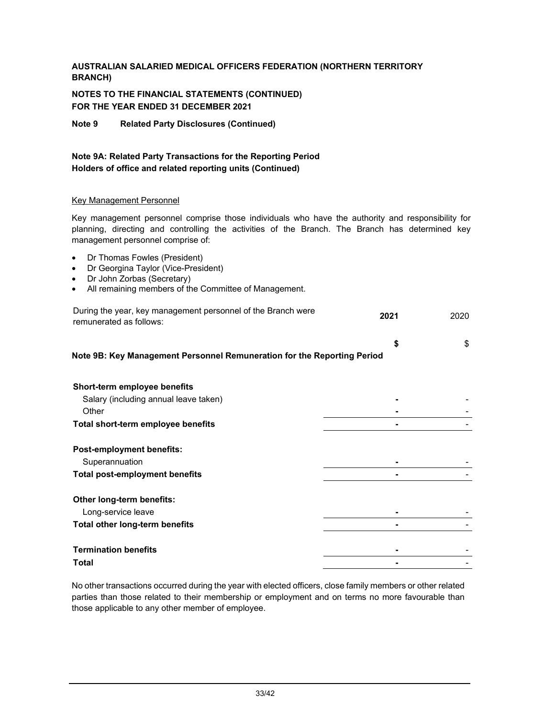# **NOTES TO THE FINANCIAL STATEMENTS (CONTINUED) FOR THE YEAR ENDED 31 DECEMBER 2021**

**Note 9 Related Party Disclosures (Continued)** 

# **Note 9A: Related Party Transactions for the Reporting Period Holders of office and related reporting units (Continued)**

### Key Management Personnel

Key management personnel comprise those individuals who have the authority and responsibility for planning, directing and controlling the activities of the Branch. The Branch has determined key management personnel comprise of:

- Dr Thomas Fowles (President)
- Dr Georgina Taylor (Vice-President)
- Dr John Zorbas (Secretary)
- All remaining members of the Committee of Management.

| During the year, key management personnel of the Branch were<br>remunerated as follows: | 2021 | 2020 |
|-----------------------------------------------------------------------------------------|------|------|
| Note 9B: Key Management Personnel Remuneration for the Reporting Period                 | \$   | \$   |
| Short-term employee benefits                                                            |      |      |
| Salary (including annual leave taken)                                                   |      |      |
| Other                                                                                   |      |      |
| Total short-term employee benefits                                                      |      |      |
| <b>Post-employment benefits:</b>                                                        |      |      |
| Superannuation                                                                          |      |      |
| <b>Total post-employment benefits</b>                                                   |      |      |
| Other long-term benefits:                                                               |      |      |
| Long-service leave                                                                      |      |      |
| Total other long-term benefits                                                          |      |      |
|                                                                                         |      |      |
| <b>Termination benefits</b>                                                             |      |      |
| Total                                                                                   |      |      |

No other transactions occurred during the year with elected officers, close family members or other related parties than those related to their membership or employment and on terms no more favourable than those applicable to any other member of employee.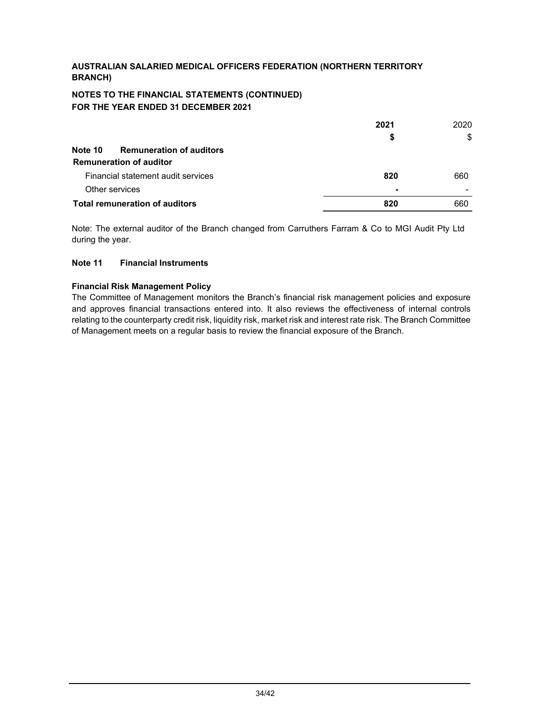### **NOTES TO THE FINANCIAL STATEMENTS (CONTINUED) FOR THE YEAR ENDED 31 DECEMBER 2021**

| Note 10        | <b>Remuneration of auditors</b><br><b>Remuneration of auditor</b> | 2021<br>\$     | 2020<br>\$ |
|----------------|-------------------------------------------------------------------|----------------|------------|
|                | Financial statement audit services                                | 820            | 660        |
| Other services |                                                                   | $\blacksquare$ | -          |
|                | <b>Total remuneration of auditors</b>                             | 820            | 660        |

Note: The external auditor of the Branch changed from Carruthers Farram & Co to MGI Audit Pty Ltd during the year.

### **Note 11 Financial Instruments**

### **Financial Risk Management Policy**

The Committee of Management monitors the Branch's financial risk management policies and exposure and approves financial transactions entered into. It also reviews the effectiveness of internal controls relating to the counterparty credit risk, liquidity risk, market risk and interest rate risk. The Branch Committee of Management meets on a regular basis to review the financial exposure of the Branch.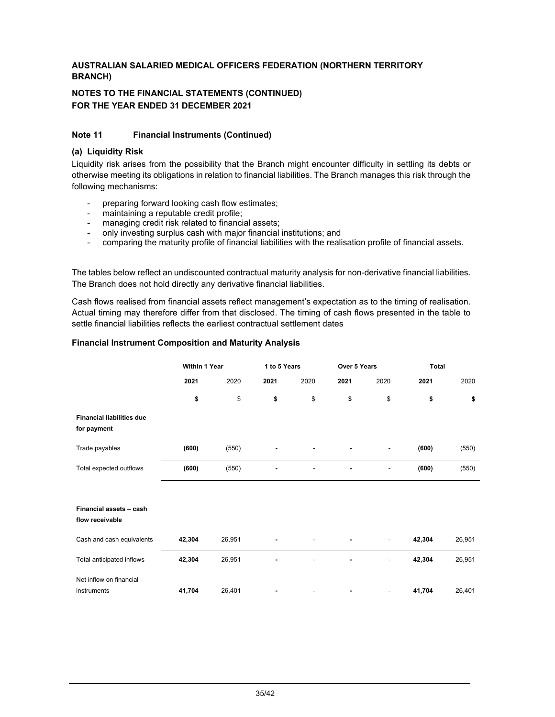### **NOTES TO THE FINANCIAL STATEMENTS (CONTINUED) FOR THE YEAR ENDED 31 DECEMBER 2021**

### **Note 11 Financial Instruments (Continued)**

### **(a) Liquidity Risk**

Liquidity risk arises from the possibility that the Branch might encounter difficulty in settling its debts or otherwise meeting its obligations in relation to financial liabilities. The Branch manages this risk through the following mechanisms:

- preparing forward looking cash flow estimates;
- maintaining a reputable credit profile;
- managing credit risk related to financial assets;
- only investing surplus cash with major financial institutions; and
- comparing the maturity profile of financial liabilities with the realisation profile of financial assets.

The tables below reflect an undiscounted contractual maturity analysis for non-derivative financial liabilities. The Branch does not hold directly any derivative financial liabilities.

Cash flows realised from financial assets reflect management's expectation as to the timing of realisation. Actual timing may therefore differ from that disclosed. The timing of cash flows presented in the table to settle financial liabilities reflects the earliest contractual settlement dates

#### **Financial Instrument Composition and Maturity Analysis**

|                                                 | Within 1 Year |        | 1 to 5 Years |      | Over 5 Years |      | <b>Total</b> |        |
|-------------------------------------------------|---------------|--------|--------------|------|--------------|------|--------------|--------|
|                                                 | 2021          | 2020   | 2021         | 2020 | 2021         | 2020 | 2021         | 2020   |
|                                                 | \$            | \$     | \$           | \$   | \$           | \$   | \$           | \$     |
| <b>Financial liabilities due</b><br>for payment |               |        |              |      |              |      |              |        |
| Trade payables                                  | (600)         | (550)  |              |      |              |      | (600)        | (550)  |
| Total expected outflows                         | (600)         | (550)  |              |      |              | ٠    | (600)        | (550)  |
|                                                 |               |        |              |      |              |      |              |        |
| Financial assets - cash<br>flow receivable      |               |        |              |      |              |      |              |        |
| Cash and cash equivalents                       | 42,304        | 26,951 |              |      |              |      | 42,304       | 26,951 |
| Total anticipated inflows                       | 42,304        | 26,951 |              |      |              | -    | 42,304       | 26,951 |
| Net inflow on financial<br>instruments          | 41,704        | 26,401 |              |      |              | -    | 41,704       | 26,401 |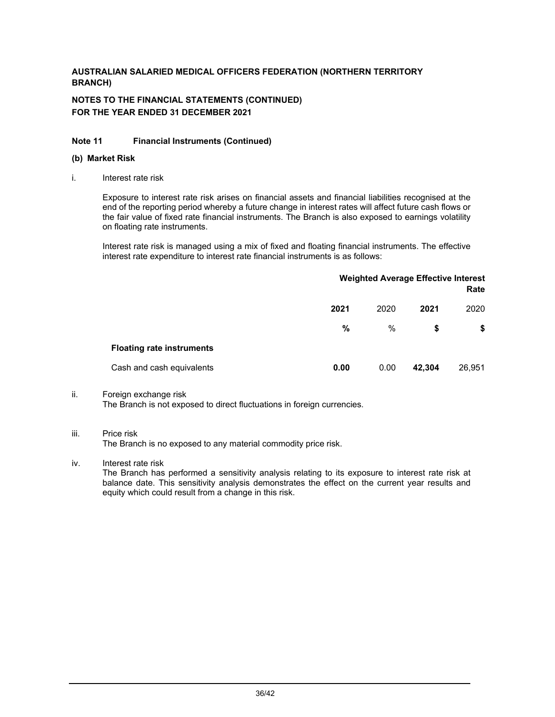# **NOTES TO THE FINANCIAL STATEMENTS (CONTINUED) FOR THE YEAR ENDED 31 DECEMBER 2021**

### **Note 11 Financial Instruments (Continued)**

#### **(b) Market Risk**

i. Interest rate risk

Exposure to interest rate risk arises on financial assets and financial liabilities recognised at the end of the reporting period whereby a future change in interest rates will affect future cash flows or the fair value of fixed rate financial instruments. The Branch is also exposed to earnings volatility on floating rate instruments.

Interest rate risk is managed using a mix of fixed and floating financial instruments. The effective interest rate expenditure to interest rate financial instruments is as follows:

|                                  | <b>Weighted Average Effective Interest</b><br>Rate |      |        |        |
|----------------------------------|----------------------------------------------------|------|--------|--------|
|                                  | 2021                                               | 2020 | 2021   | 2020   |
|                                  | $\%$                                               | %    | \$     | \$     |
| <b>Floating rate instruments</b> |                                                    |      |        |        |
| Cash and cash equivalents        | 0.00                                               | 0.00 | 42,304 | 26,951 |

### ii. Foreign exchange risk

The Branch is not exposed to direct fluctuations in foreign currencies.

### iii. Price risk

The Branch is no exposed to any material commodity price risk.

### iv. Interest rate risk

The Branch has performed a sensitivity analysis relating to its exposure to interest rate risk at balance date. This sensitivity analysis demonstrates the effect on the current year results and equity which could result from a change in this risk.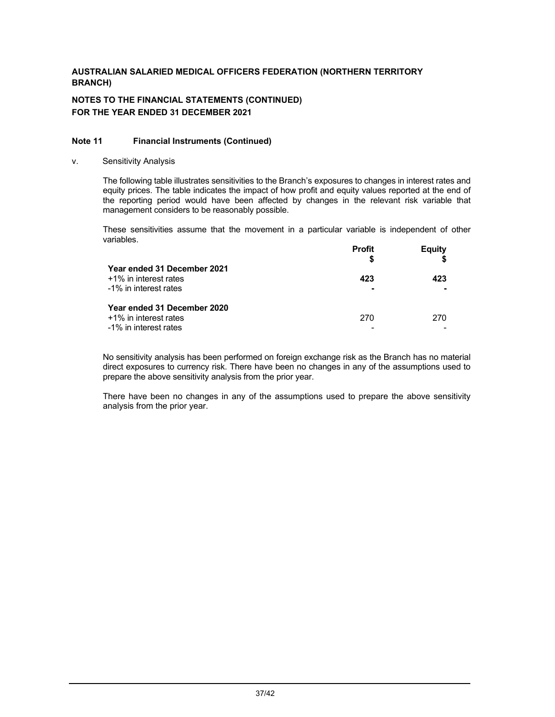# **NOTES TO THE FINANCIAL STATEMENTS (CONTINUED) FOR THE YEAR ENDED 31 DECEMBER 2021**

### **Note 11 Financial Instruments (Continued)**

v. Sensitivity Analysis

The following table illustrates sensitivities to the Branch's exposures to changes in interest rates and equity prices. The table indicates the impact of how profit and equity values reported at the end of the reporting period would have been affected by changes in the relevant risk variable that management considers to be reasonably possible.

These sensitivities assume that the movement in a particular variable is independent of other variables.

| Year ended 31 December 2021                                                   | <b>Profit</b> | Equity |
|-------------------------------------------------------------------------------|---------------|--------|
| +1% in interest rates<br>-1% in interest rates                                | 423           | 423    |
| Year ended 31 December 2020<br>+1% in interest rates<br>-1% in interest rates | 270           | 270    |

No sensitivity analysis has been performed on foreign exchange risk as the Branch has no material direct exposures to currency risk. There have been no changes in any of the assumptions used to prepare the above sensitivity analysis from the prior year.

There have been no changes in any of the assumptions used to prepare the above sensitivity analysis from the prior year.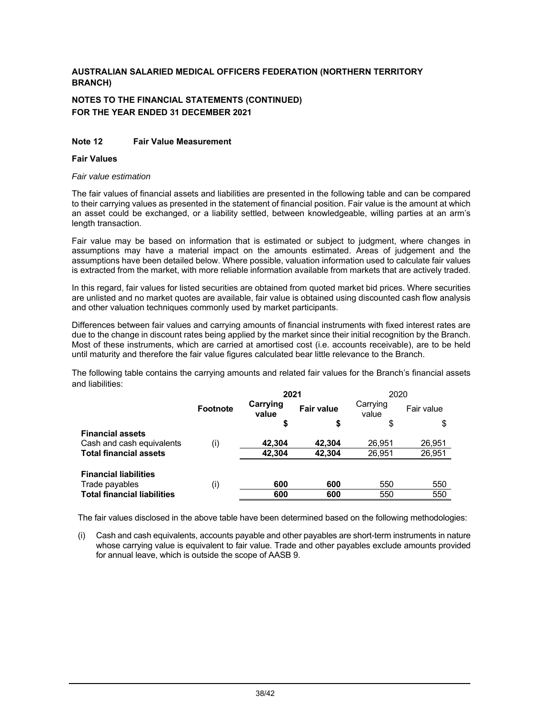# **NOTES TO THE FINANCIAL STATEMENTS (CONTINUED) FOR THE YEAR ENDED 31 DECEMBER 2021**

### **Note 12 Fair Value Measurement**

#### **Fair Values**

#### *Fair value estimation*

The fair values of financial assets and liabilities are presented in the following table and can be compared to their carrying values as presented in the statement of financial position. Fair value is the amount at which an asset could be exchanged, or a liability settled, between knowledgeable, willing parties at an arm's length transaction.

Fair value may be based on information that is estimated or subject to judgment, where changes in assumptions may have a material impact on the amounts estimated. Areas of judgement and the assumptions have been detailed below. Where possible, valuation information used to calculate fair values is extracted from the market, with more reliable information available from markets that are actively traded.

In this regard, fair values for listed securities are obtained from quoted market bid prices. Where securities are unlisted and no market quotes are available, fair value is obtained using discounted cash flow analysis and other valuation techniques commonly used by market participants.

Differences between fair values and carrying amounts of financial instruments with fixed interest rates are due to the change in discount rates being applied by the market since their initial recognition by the Branch. Most of these instruments, which are carried at amortised cost (i.e. accounts receivable), are to be held until maturity and therefore the fair value figures calculated bear little relevance to the Branch.

The following table contains the carrying amounts and related fair values for the Branch's financial assets and liabilities:

|                                    | 2021            |                   |                   | 2020              |            |
|------------------------------------|-----------------|-------------------|-------------------|-------------------|------------|
|                                    | <b>Footnote</b> | Carrying<br>value | <b>Fair value</b> | Carrying<br>value | Fair value |
|                                    |                 | \$                | \$                | \$                | S          |
| <b>Financial assets</b>            |                 |                   |                   |                   |            |
| Cash and cash equivalents          | (i)             | 42,304            | 42.304            | 26.951            | 26,951     |
| <b>Total financial assets</b>      |                 | 42,304            | 42,304            | 26,951            | 26,951     |
|                                    |                 |                   |                   |                   |            |
| <b>Financial liabilities</b>       |                 |                   |                   |                   |            |
| Trade payables                     | (i)             | 600               | 600               | 550               | 550        |
| <b>Total financial liabilities</b> |                 | 600               | 600               | 550               | 550        |

The fair values disclosed in the above table have been determined based on the following methodologies:

(i) Cash and cash equivalents, accounts payable and other payables are short-term instruments in nature whose carrying value is equivalent to fair value. Trade and other payables exclude amounts provided for annual leave, which is outside the scope of AASB 9.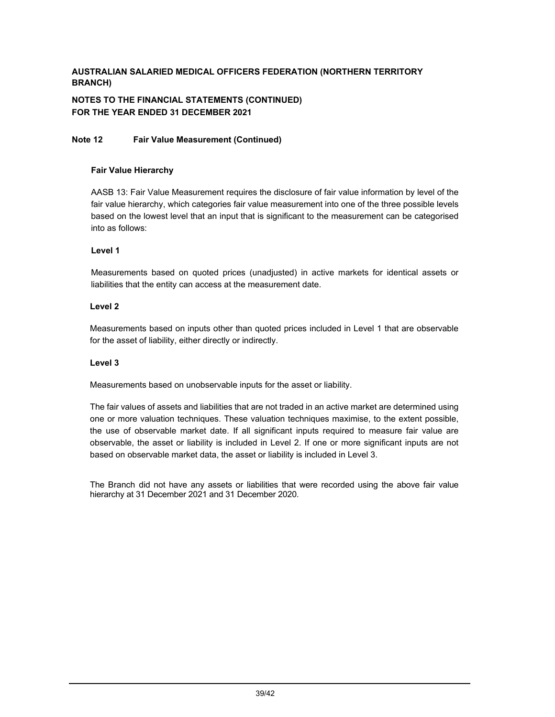# **NOTES TO THE FINANCIAL STATEMENTS (CONTINUED) FOR THE YEAR ENDED 31 DECEMBER 2021**

### **Note 12 Fair Value Measurement (Continued)**

### **Fair Value Hierarchy**

AASB 13: Fair Value Measurement requires the disclosure of fair value information by level of the fair value hierarchy, which categories fair value measurement into one of the three possible levels based on the lowest level that an input that is significant to the measurement can be categorised into as follows:

### **Level 1**

Measurements based on quoted prices (unadjusted) in active markets for identical assets or liabilities that the entity can access at the measurement date.

### **Level 2**

Measurements based on inputs other than quoted prices included in Level 1 that are observable for the asset of liability, either directly or indirectly.

### **Level 3**

Measurements based on unobservable inputs for the asset or liability.

The fair values of assets and liabilities that are not traded in an active market are determined using one or more valuation techniques. These valuation techniques maximise, to the extent possible, the use of observable market date. If all significant inputs required to measure fair value are observable, the asset or liability is included in Level 2. If one or more significant inputs are not based on observable market data, the asset or liability is included in Level 3.

The Branch did not have any assets or liabilities that were recorded using the above fair value hierarchy at 31 December 2021 and 31 December 2020.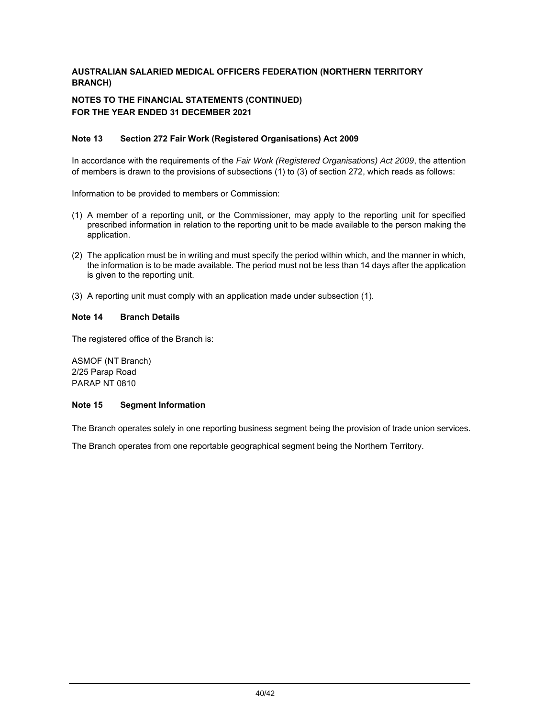# **NOTES TO THE FINANCIAL STATEMENTS (CONTINUED) FOR THE YEAR ENDED 31 DECEMBER 2021**

### **Note 13 Section 272 Fair Work (Registered Organisations) Act 2009**

In accordance with the requirements of the *Fair Work (Registered Organisations) Act 2009*, the attention of members is drawn to the provisions of subsections (1) to (3) of section 272, which reads as follows:

Information to be provided to members or Commission:

- (1) A member of a reporting unit, or the Commissioner, may apply to the reporting unit for specified prescribed information in relation to the reporting unit to be made available to the person making the application.
- (2) The application must be in writing and must specify the period within which, and the manner in which, the information is to be made available. The period must not be less than 14 days after the application is given to the reporting unit.
- (3) A reporting unit must comply with an application made under subsection (1).

### **Note 14 Branch Details**

The registered office of the Branch is:

ASMOF (NT Branch) 2/25 Parap Road PARAP NT 0810

#### **Note 15 Segment Information**

The Branch operates solely in one reporting business segment being the provision of trade union services.

The Branch operates from one reportable geographical segment being the Northern Territory.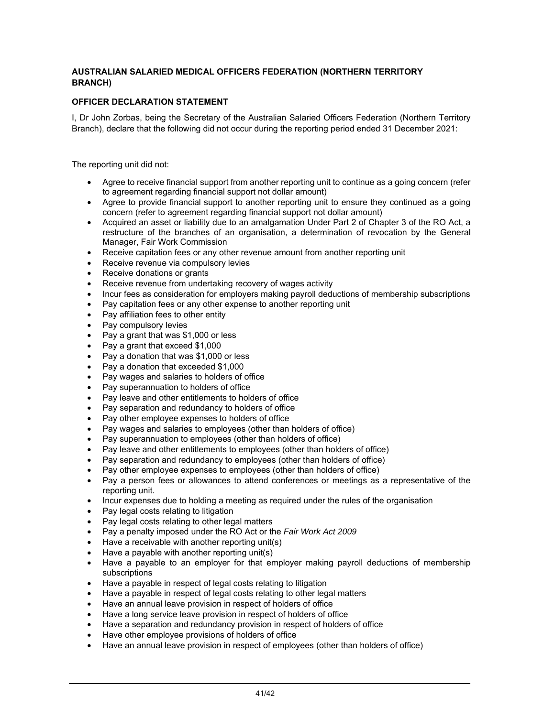### **OFFICER DECLARATION STATEMENT**

I, Dr John Zorbas, being the Secretary of the Australian Salaried Officers Federation (Northern Territory Branch), declare that the following did not occur during the reporting period ended 31 December 2021:

The reporting unit did not:

- Agree to receive financial support from another reporting unit to continue as a going concern (refer to agreement regarding financial support not dollar amount)
- Agree to provide financial support to another reporting unit to ensure they continued as a going concern (refer to agreement regarding financial support not dollar amount)
- Acquired an asset or liability due to an amalgamation Under Part 2 of Chapter 3 of the RO Act, a restructure of the branches of an organisation, a determination of revocation by the General Manager, Fair Work Commission
- Receive capitation fees or any other revenue amount from another reporting unit
- Receive revenue via compulsory levies
- Receive donations or grants
- Receive revenue from undertaking recovery of wages activity
- Incur fees as consideration for employers making payroll deductions of membership subscriptions
- Pay capitation fees or any other expense to another reporting unit
- Pay affiliation fees to other entity
- Pay compulsory levies
- Pay a grant that was \$1,000 or less
- Pay a grant that exceed \$1,000
- Pay a donation that was \$1,000 or less
- Pay a donation that exceeded \$1,000
- Pay wages and salaries to holders of office
- Pay superannuation to holders of office
- Pay leave and other entitlements to holders of office
- Pay separation and redundancy to holders of office
- Pay other employee expenses to holders of office
- Pay wages and salaries to employees (other than holders of office)
- Pay superannuation to employees (other than holders of office)
- Pay leave and other entitlements to employees (other than holders of office)
- Pay separation and redundancy to employees (other than holders of office)
- Pay other employee expenses to employees (other than holders of office)
- Pay a person fees or allowances to attend conferences or meetings as a representative of the reporting unit.
- Incur expenses due to holding a meeting as required under the rules of the organisation
- Pay legal costs relating to litigation
- Pay legal costs relating to other legal matters
- Pay a penalty imposed under the RO Act or the *Fair Work Act 2009*
- Have a receivable with another reporting unit(s)
- Have a payable with another reporting unit(s)
- Have a payable to an employer for that employer making payroll deductions of membership subscriptions
- Have a payable in respect of legal costs relating to litigation
- Have a payable in respect of legal costs relating to other legal matters
- Have an annual leave provision in respect of holders of office
- Have a long service leave provision in respect of holders of office
- Have a separation and redundancy provision in respect of holders of office
- Have other employee provisions of holders of office
- Have an annual leave provision in respect of employees (other than holders of office)